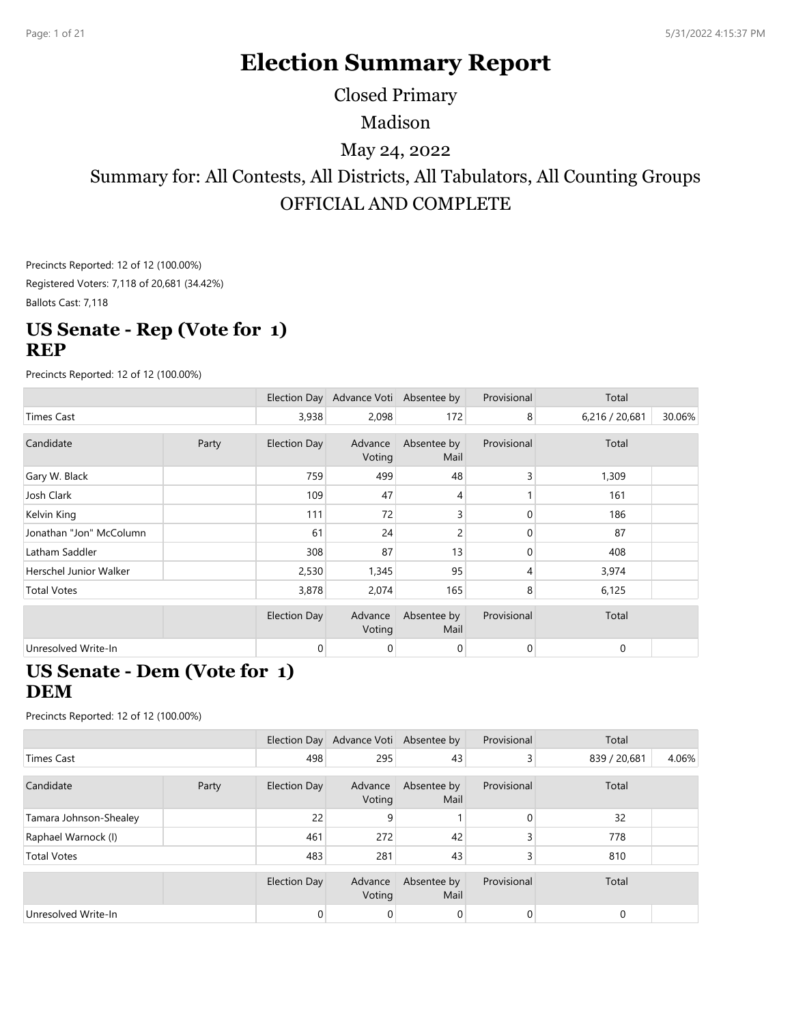# **Election Summary Report**

Closed Primary

Madison

## May 24, 2022

Summary for: All Contests, All Districts, All Tabulators, All Counting Groups OFFICIAL AND COMPLETE

Precincts Reported: 12 of 12 (100.00%) Registered Voters: 7,118 of 20,681 (34.42%)

Ballots Cast: 7,118

### **US Senate - Rep (Vote for 1) REP**

Precincts Reported: 12 of 12 (100.00%)

|                         |       |                     | Election Day Advance Voti Absentee by |                     | Provisional    | Total          |        |
|-------------------------|-------|---------------------|---------------------------------------|---------------------|----------------|----------------|--------|
| Times Cast              |       | 3,938               | 2,098                                 | 172                 | 8              | 6,216 / 20,681 | 30.06% |
| Candidate               | Party | <b>Election Day</b> | Advance<br>Voting                     | Absentee by<br>Mail | Provisional    | Total          |        |
| Gary W. Black           |       | 759                 | 499                                   | 48                  |                | 1,309          |        |
| Josh Clark              |       | 109                 | 47                                    | 4                   |                | 161            |        |
| Kelvin King             |       | 111                 | 72                                    | 3                   | 0              | 186            |        |
| Jonathan "Jon" McColumn |       | 61                  | 24                                    | 2                   | 0              | 87             |        |
| Latham Saddler          |       | 308                 | 87                                    | 13                  | $\Omega$       | 408            |        |
| Herschel Junior Walker  |       | 2,530               | 1,345                                 | 95                  | $\overline{4}$ | 3,974          |        |
| <b>Total Votes</b>      |       | 3,878               | 2,074                                 | 165                 | 8              | 6,125          |        |
|                         |       | <b>Election Day</b> | Advance<br>Voting                     | Absentee by<br>Mail | Provisional    | Total          |        |
| Unresolved Write-In     |       | 0                   | 0                                     | 0                   | $\mathbf 0$    | 0              |        |

#### **US Senate - Dem (Vote for 1) DEM**

|                        |       |                     | Election Day Advance Voti Absentee by |                     | Provisional | Total        |       |
|------------------------|-------|---------------------|---------------------------------------|---------------------|-------------|--------------|-------|
| Times Cast             |       | 498                 | 295                                   | 43                  | 3           | 839 / 20,681 | 4.06% |
| Candidate              | Party | Election Day        | Advance<br>Voting                     | Absentee by<br>Mail | Provisional | Total        |       |
| Tamara Johnson-Shealey |       | 22                  | 9                                     |                     | 0           | 32           |       |
| Raphael Warnock (I)    |       | 461                 | 272                                   | 42                  |             | 778          |       |
| <b>Total Votes</b>     |       | 483                 | 281                                   | 43                  |             | 810          |       |
|                        |       | <b>Election Day</b> | Advance<br>Voting                     | Absentee by<br>Mail | Provisional | Total        |       |
| Unresolved Write-In    |       | 0                   | 0                                     | 0                   |             | 0            |       |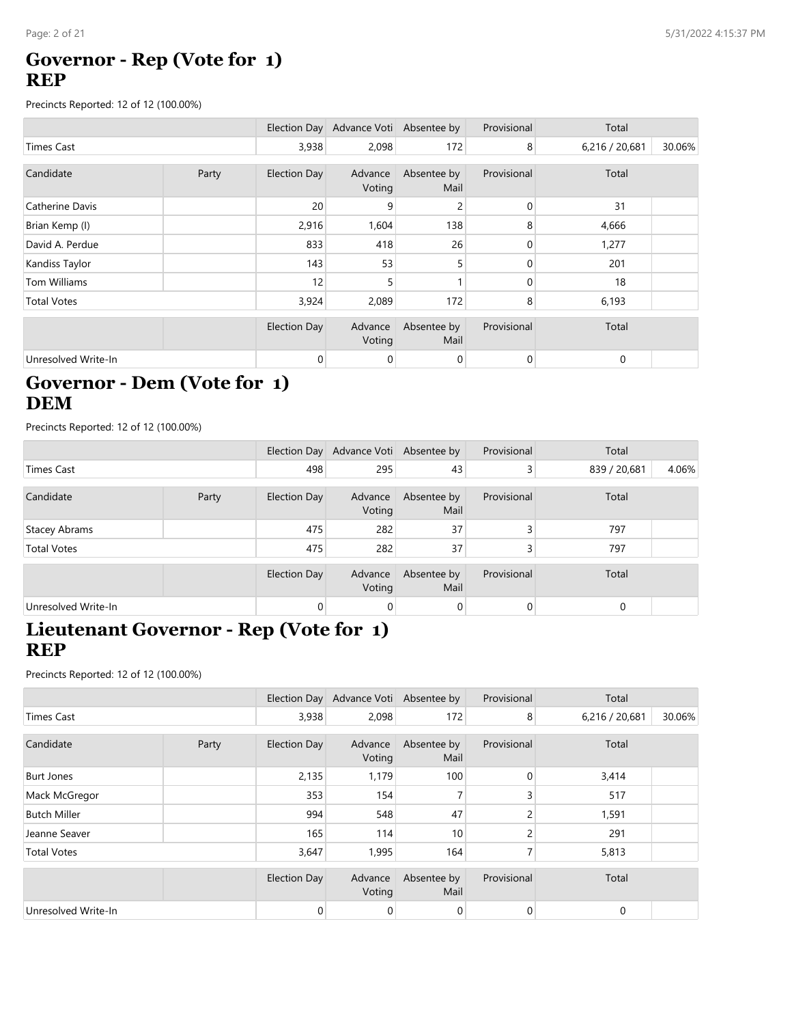### **Governor - Rep (Vote for 1) REP**

Precincts Reported: 12 of 12 (100.00%)

|                     |       |                     | Election Day Advance Voti Absentee by |                     | Provisional | Total          |        |
|---------------------|-------|---------------------|---------------------------------------|---------------------|-------------|----------------|--------|
| <b>Times Cast</b>   |       | 3,938               | 2,098                                 | 172                 | 8           | 6,216 / 20,681 | 30.06% |
| Candidate           | Party | <b>Election Day</b> | Advance<br>Voting                     | Absentee by<br>Mail | Provisional | Total          |        |
| Catherine Davis     |       | 20                  | 9                                     | 2                   | 0           | 31             |        |
| Brian Kemp (I)      |       | 2,916               | 1,604                                 | 138                 | 8           | 4,666          |        |
| David A. Perdue     |       | 833                 | 418                                   | 26                  | 0           | 1,277          |        |
| Kandiss Taylor      |       | 143                 | 53                                    | 5                   | 0           | 201            |        |
| Tom Williams        |       | 12                  | 5                                     |                     | 0           | 18             |        |
| <b>Total Votes</b>  |       | 3,924               | 2,089                                 | 172                 | 8           | 6,193          |        |
|                     |       | <b>Election Day</b> | Advance<br>Voting                     | Absentee by<br>Mail | Provisional | Total          |        |
| Unresolved Write-In |       | 0                   | 0                                     | 0                   | 0           | 0              |        |

## **Governor - Dem (Vote for 1) DEM**

Precincts Reported: 12 of 12 (100.00%)

|                     |       |                | Election Day Advance Voti Absentee by |                     | Provisional    | Total        |       |
|---------------------|-------|----------------|---------------------------------------|---------------------|----------------|--------------|-------|
| Times Cast          |       | 498            | 295                                   | 43                  | 3              | 839 / 20,681 | 4.06% |
| Candidate           | Party | Election Day   | Advance<br>Voting                     | Absentee by<br>Mail | Provisional    | Total        |       |
| Stacey Abrams       |       | 475            | 282                                   | 37                  | 3              | 797          |       |
| <b>Total Votes</b>  |       | 475            | 282                                   | 37                  | 3              | 797          |       |
|                     |       | Election Day   | Advance<br>Voting                     | Absentee by<br>Mail | Provisional    | Total        |       |
| Unresolved Write-In |       | $\overline{0}$ | $\overline{0}$                        | $\overline{0}$      | $\overline{0}$ | 0            |       |

### **Lieutenant Governor - Rep (Vote for 1) REP**

|                     |       |              | Election Day Advance Voti Absentee by |                     | Provisional    | Total          |        |
|---------------------|-------|--------------|---------------------------------------|---------------------|----------------|----------------|--------|
| <b>Times Cast</b>   |       | 3,938        | 2,098                                 | 172                 | 8              | 6,216 / 20,681 | 30.06% |
| Candidate           | Party | Election Day | Advance<br>Voting                     | Absentee by<br>Mail | Provisional    | Total          |        |
| <b>Burt Jones</b>   |       | 2,135        | 1,179                                 | 100                 | $\mathbf{0}$   | 3,414          |        |
| Mack McGregor       |       | 353          | 154                                   |                     | 3              | 517            |        |
| <b>Butch Miller</b> |       | 994          | 548                                   | 47                  | 2              | 1,591          |        |
| Jeanne Seaver       |       | 165          | 114                                   | 10                  | 2              | 291            |        |
| <b>Total Votes</b>  |       | 3,647        | 1,995                                 | 164                 | 7              | 5,813          |        |
|                     |       | Election Day | Advance<br>Voting                     | Absentee by<br>Mail | Provisional    | Total          |        |
| Unresolved Write-In |       | $\mathbf 0$  | 0                                     | $\mathbf 0$         | $\overline{0}$ | $\mathbf 0$    |        |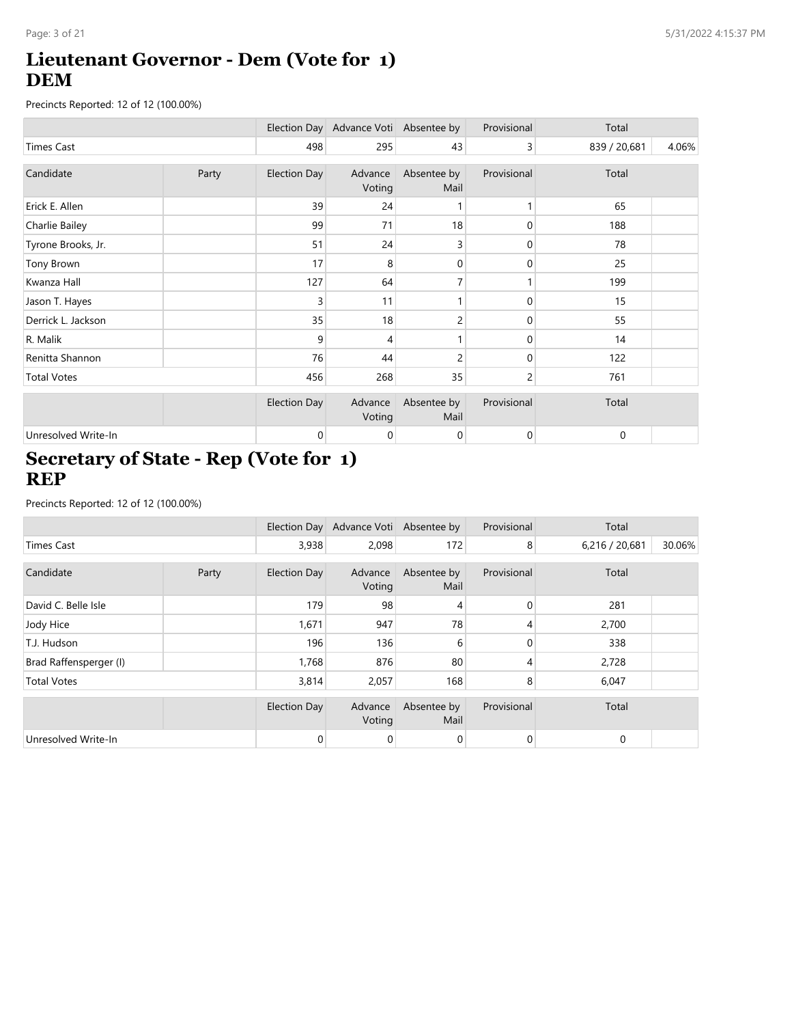## **Lieutenant Governor - Dem (Vote for 1) DEM**

Precincts Reported: 12 of 12 (100.00%)

|                     |       |                     | Election Day Advance Voti Absentee by |                     | Provisional    | Total        |       |
|---------------------|-------|---------------------|---------------------------------------|---------------------|----------------|--------------|-------|
| <b>Times Cast</b>   |       | 498                 | 295                                   | 43                  | $\overline{3}$ | 839 / 20,681 | 4.06% |
| Candidate           | Party | <b>Election Day</b> | Advance<br>Voting                     | Absentee by<br>Mail | Provisional    | Total        |       |
| Erick E. Allen      |       | 39                  | 24                                    |                     | 1              | 65           |       |
| Charlie Bailey      |       | 99                  | 71                                    | 18                  | 0              | 188          |       |
| Tyrone Brooks, Jr.  |       | 51                  | 24                                    | 3                   | 0              | 78           |       |
| Tony Brown          |       | 17                  | 8                                     | $\mathbf 0$         | 0              | 25           |       |
| Kwanza Hall         |       | 127                 | 64                                    | 7                   |                | 199          |       |
| Jason T. Hayes      |       | 3                   | 11                                    |                     | 0              | 15           |       |
| Derrick L. Jackson  |       | 35                  | 18                                    | 2                   | 0              | 55           |       |
| R. Malik            |       | 9                   | 4                                     |                     | 0              | 14           |       |
| Renitta Shannon     |       | 76                  | 44                                    | 2                   | 0              | 122          |       |
| <b>Total Votes</b>  |       | 456                 | 268                                   | 35                  | 2              | 761          |       |
|                     |       | <b>Election Day</b> | Advance<br>Voting                     | Absentee by<br>Mail | Provisional    | Total        |       |
| Unresolved Write-In |       | 0                   | 0                                     | $\mathbf 0$         | $\overline{0}$ | 0            |       |

### **Secretary of State - Rep (Vote for 1) REP**

|                        |       |                     | Election Day Advance Voti Absentee by |                     | Provisional    | Total          |        |
|------------------------|-------|---------------------|---------------------------------------|---------------------|----------------|----------------|--------|
| Times Cast             |       | 3,938               | 2,098                                 | 172                 | 8              | 6,216 / 20,681 | 30.06% |
| Candidate              | Party | <b>Election Day</b> | Advance                               | Absentee by         | Provisional    | Total          |        |
|                        |       |                     | Voting                                | Mail                |                |                |        |
| David C. Belle Isle    |       | 179                 | 98                                    | 4                   | $\mathbf{0}$   | 281            |        |
| Jody Hice              |       | 1,671               | 947                                   | 78                  | 4              | 2,700          |        |
| T.J. Hudson            |       | 196                 | 136                                   | 6                   | 0              | 338            |        |
| Brad Raffensperger (I) |       | 1,768               | 876                                   | 80                  | 4              | 2,728          |        |
| <b>Total Votes</b>     |       | 3,814               | 2,057                                 | 168                 | 8              | 6,047          |        |
|                        |       | <b>Election Day</b> | Advance<br>Voting                     | Absentee by<br>Mail | Provisional    | Total          |        |
| Unresolved Write-In    |       | 0                   | 0                                     | $\overline{0}$      | $\overline{0}$ | $\mathbf 0$    |        |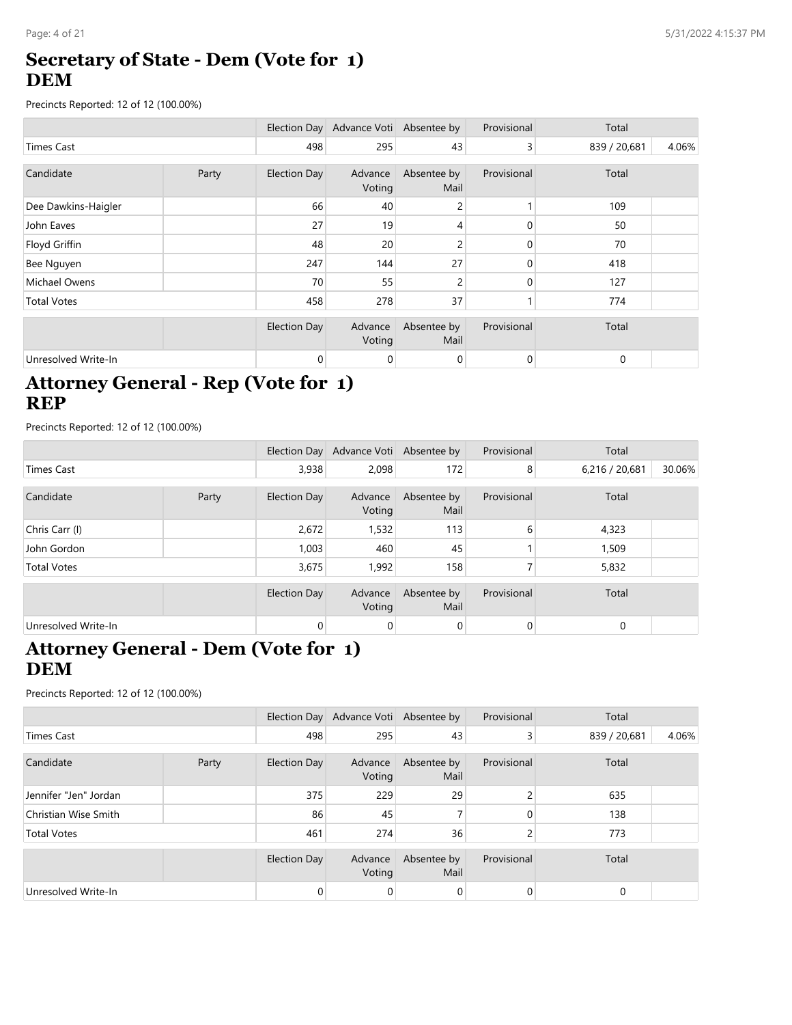### **Secretary of State - Dem (Vote for 1) DEM**

Precincts Reported: 12 of 12 (100.00%)

|                     |       |                     | Election Day Advance Voti Absentee by |                     | Provisional | Total        |       |
|---------------------|-------|---------------------|---------------------------------------|---------------------|-------------|--------------|-------|
| <b>Times Cast</b>   |       | 498                 | 295                                   | 43                  | 3           | 839 / 20,681 | 4.06% |
| Candidate           | Party | <b>Election Day</b> | Advance<br>Voting                     | Absentee by<br>Mail | Provisional | Total        |       |
| Dee Dawkins-Haigler |       | 66                  | 40                                    | 2                   |             | 109          |       |
| John Eaves          |       | 27                  | 19                                    | 4                   | 0           | 50           |       |
| Floyd Griffin       |       | 48                  | 20                                    | 2                   | 0           | 70           |       |
| Bee Nguyen          |       | 247                 | 144                                   | 27                  | 0           | 418          |       |
| Michael Owens       |       | 70                  | 55                                    | 2                   | 0           | 127          |       |
| <b>Total Votes</b>  |       | 458                 | 278                                   | 37                  |             | 774          |       |
|                     |       | <b>Election Day</b> | Advance<br>Voting                     | Absentee by<br>Mail | Provisional | Total        |       |
| Unresolved Write-In |       | 0                   | 0                                     | 0                   | 0           | 0            |       |

### **Attorney General - Rep (Vote for 1) REP**

Precincts Reported: 12 of 12 (100.00%)

|                     |       |              | Election Day Advance Voti Absentee by |                     | Provisional    | Total          |        |
|---------------------|-------|--------------|---------------------------------------|---------------------|----------------|----------------|--------|
| <b>Times Cast</b>   |       | 3,938        | 2,098                                 | 172                 | 8              | 6,216 / 20,681 | 30.06% |
| Candidate           | Party | Election Day | Advance<br>Voting                     | Absentee by<br>Mail | Provisional    | Total          |        |
| Chris Carr (I)      |       | 2,672        | 1,532                                 | 113                 | 6              | 4,323          |        |
| John Gordon         |       | 1,003        | 460                                   | 45                  |                | 1,509          |        |
| <b>Total Votes</b>  |       | 3,675        | 1,992                                 | 158                 |                | 5,832          |        |
|                     |       | Election Day | Advance<br>Voting                     | Absentee by<br>Mail | Provisional    | Total          |        |
| Unresolved Write-In |       | 0            | 0                                     | $\overline{0}$      | $\overline{0}$ | 0              |        |

## **Attorney General - Dem (Vote for 1) DEM**

|                       |       |                | Election Day Advance Voti Absentee by |                     | Provisional | Total        |       |
|-----------------------|-------|----------------|---------------------------------------|---------------------|-------------|--------------|-------|
| <b>Times Cast</b>     |       | 498            | 295                                   | 43                  | 3           | 839 / 20,681 | 4.06% |
| Candidate             | Party | Election Day   | Advance<br>Voting                     | Absentee by<br>Mail | Provisional | Total        |       |
| Jennifer "Jen" Jordan |       | 375            | 229                                   | 29                  | 2           | 635          |       |
| Christian Wise Smith  |       | 86             | 45                                    |                     | 0           | 138          |       |
| <b>Total Votes</b>    |       | 461            | 274                                   | 36                  | 2           | 773          |       |
|                       |       | Election Day   | Advance<br>Voting                     | Absentee by<br>Mail | Provisional | Total        |       |
| Unresolved Write-In   |       | $\overline{0}$ | 0                                     | 0                   | 0           | $\Omega$     |       |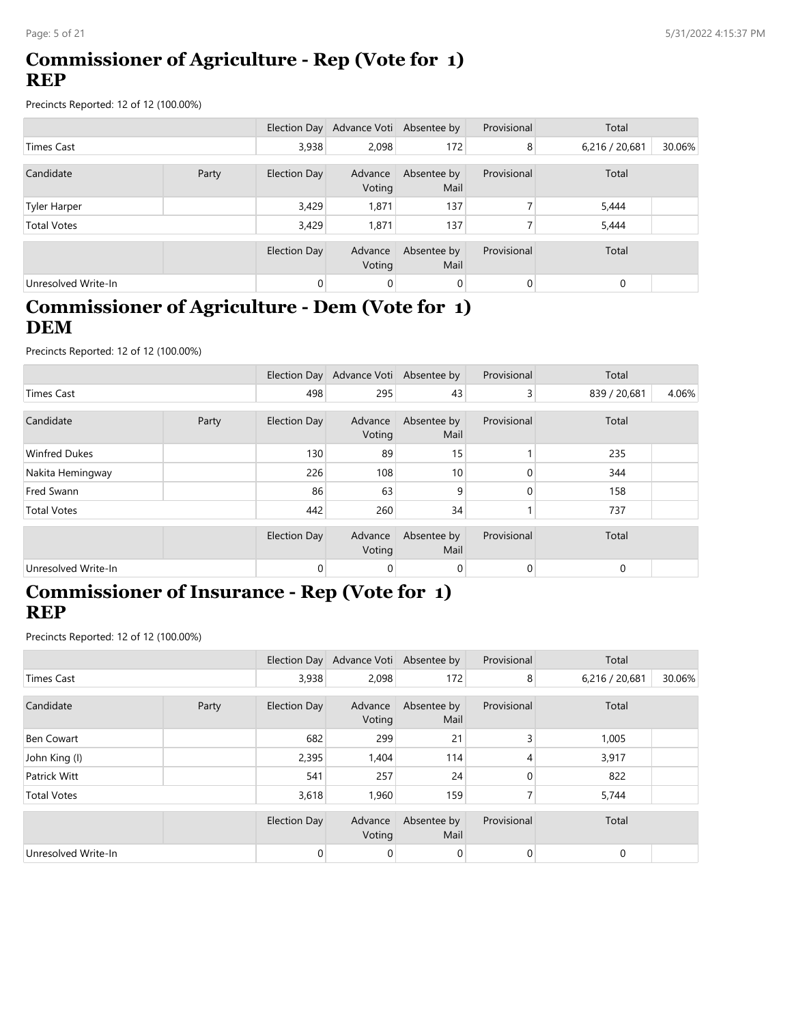### **Commissioner of Agriculture - Rep (Vote for 1) REP**

Precincts Reported: 12 of 12 (100.00%)

|                     |       |                     | Election Day Advance Voti Absentee by |                     | Provisional    | Total          |        |
|---------------------|-------|---------------------|---------------------------------------|---------------------|----------------|----------------|--------|
| Times Cast          |       | 3,938               | 2,098                                 | 172                 | 8              | 6,216 / 20,681 | 30.06% |
| Candidate           | Party | <b>Election Day</b> | Advance<br>Voting                     | Absentee by<br>Mail | Provisional    | Total          |        |
| <b>Tyler Harper</b> |       | 3,429               | 1,871                                 | 137                 |                | 5,444          |        |
| <b>Total Votes</b>  |       | 3,429               | 1.871                                 | 137                 |                | 5,444          |        |
|                     |       | Election Day        | Advance<br>Voting                     | Absentee by<br>Mail | Provisional    | Total          |        |
| Unresolved Write-In |       | 0                   | 0                                     | $\mathbf 0$         | $\overline{0}$ | $\Omega$       |        |

### **Commissioner of Agriculture - Dem (Vote for 1) DEM**

Precincts Reported: 12 of 12 (100.00%)

|                      |       |                | Election Day Advance Voti Absentee by |                     | Provisional | Total        |       |
|----------------------|-------|----------------|---------------------------------------|---------------------|-------------|--------------|-------|
| Times Cast           |       | 498            | 295                                   | 43                  | $\lvert$ 3  | 839 / 20,681 | 4.06% |
| Candidate            | Party | Election Day   | Advance<br>Voting                     | Absentee by<br>Mail | Provisional | Total        |       |
| <b>Winfred Dukes</b> |       | 130            | 89                                    | 15                  |             | 235          |       |
| Nakita Hemingway     |       | 226            | 108                                   | 10 <sub>1</sub>     |             | 344          |       |
| Fred Swann           |       | 86             | 63                                    | 9                   | 0           | 158          |       |
| <b>Total Votes</b>   |       | 442            | 260                                   | 34                  |             | 737          |       |
|                      |       | Election Day   | Advance<br>Voting                     | Absentee by<br>Mail | Provisional | Total        |       |
| Unresolved Write-In  |       | $\overline{0}$ | $\mathbf 0$                           | $\overline{0}$      | 0           | 0            |       |

#### **Commissioner of Insurance - Rep (Vote for 1) REP**

|                     |       |                     | Election Day Advance Voti Absentee by |                     | Provisional    | Total          |        |
|---------------------|-------|---------------------|---------------------------------------|---------------------|----------------|----------------|--------|
| Times Cast          |       | 3,938               | 2,098                                 | 172                 | 8              | 6,216 / 20,681 | 30.06% |
| Candidate           | Party | Election Day        | Advance<br>Voting                     | Absentee by<br>Mail | Provisional    | Total          |        |
| Ben Cowart          |       | 682                 | 299                                   | 21                  | 3              | 1,005          |        |
| John King (I)       |       | 2,395               | 1,404                                 | 114                 | 4              | 3,917          |        |
| Patrick Witt        |       | 541                 | 257                                   | 24                  | 0              | 822            |        |
| <b>Total Votes</b>  |       | 3,618               | 1,960                                 | 159                 | 7              | 5,744          |        |
|                     |       | <b>Election Day</b> | Advance<br>Voting                     | Absentee by<br>Mail | Provisional    | Total          |        |
| Unresolved Write-In |       | $\mathbf{0}$        | 0                                     | $\mathbf 0$         | $\overline{0}$ | $\mathbf 0$    |        |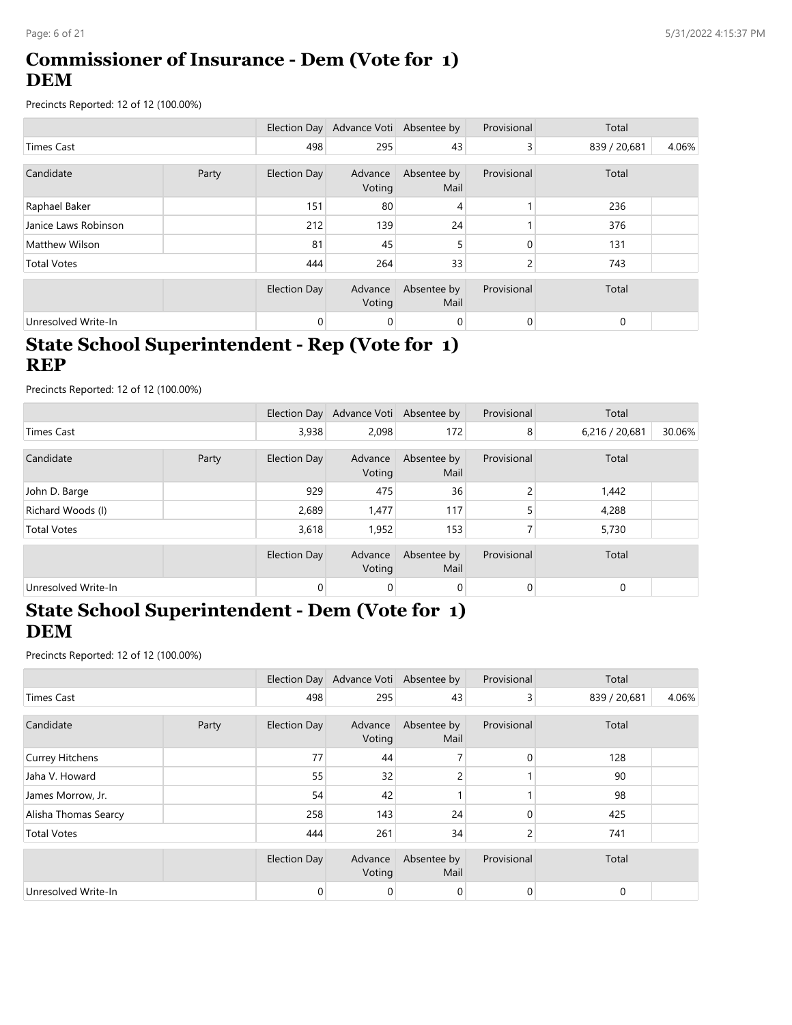## **Commissioner of Insurance - Dem (Vote for 1) DEM**

Precincts Reported: 12 of 12 (100.00%)

|                       |       |              | Election Day Advance Voti Absentee by |                     | Provisional | Total        |       |
|-----------------------|-------|--------------|---------------------------------------|---------------------|-------------|--------------|-------|
| Times Cast            |       | 498          | 295                                   | 43                  | 3           | 839 / 20,681 | 4.06% |
| Candidate             | Party | Election Day | Advance<br>Voting                     | Absentee by<br>Mail | Provisional | Total        |       |
| Raphael Baker         |       | 151          | 80                                    | 4                   |             | 236          |       |
| Janice Laws Robinson  |       | 212          | 139                                   | 24                  |             | 376          |       |
| <b>Matthew Wilson</b> |       | 81           | 45                                    | 5                   | $\Omega$    | 131          |       |
| <b>Total Votes</b>    |       | 444          | 264                                   | 33                  | 2           | 743          |       |
|                       |       | Election Day | Advance<br>Voting                     | Absentee by<br>Mail | Provisional | Total        |       |
| Unresolved Write-In   |       | 0            | 0                                     | 0                   | 0           | $\mathbf 0$  |       |

## **State School Superintendent - Rep (Vote for 1) REP**

Precincts Reported: 12 of 12 (100.00%)

|                     |       |                | Election Day Advance Voti Absentee by |                     | Provisional | Total          |        |
|---------------------|-------|----------------|---------------------------------------|---------------------|-------------|----------------|--------|
| Times Cast          |       | 3,938          | 2,098                                 | 172                 | 8           | 6,216 / 20,681 | 30.06% |
| Candidate           | Party | Election Day   | Advance<br>Voting                     | Absentee by<br>Mail | Provisional | Total          |        |
| John D. Barge       |       | 929            | 475                                   | 36                  | 2           | 1,442          |        |
| Richard Woods (I)   |       | 2,689          | 1,477                                 | 117                 | 5           | 4,288          |        |
| <b>Total Votes</b>  |       | 3,618          | 1,952                                 | 153                 |             | 5,730          |        |
|                     |       | Election Day   | Advance<br>Voting                     | Absentee by<br>Mail | Provisional | Total          |        |
| Unresolved Write-In |       | $\overline{0}$ | $\mathbf 0$                           | 0                   | 0           | $\mathbf 0$    |        |

### **State School Superintendent - Dem (Vote for 1) DEM**

|                        |  |                     | Election Day Advance Voti Absentee by |                     | Provisional    | Total        |       |
|------------------------|--|---------------------|---------------------------------------|---------------------|----------------|--------------|-------|
| <b>Times Cast</b>      |  | 498                 | 295                                   | 43                  | $\overline{3}$ | 839 / 20,681 | 4.06% |
| Candidate<br>Party     |  | <b>Election Day</b> | Advance<br>Voting                     | Absentee by<br>Mail | Provisional    | Total        |       |
| <b>Currey Hitchens</b> |  | 77                  | 44                                    |                     | 0              | 128          |       |
| Jaha V. Howard         |  | 55                  | 32                                    | 2                   |                | 90           |       |
| James Morrow, Jr.      |  | 54                  | 42                                    |                     |                | 98           |       |
| Alisha Thomas Searcy   |  | 258                 | 143                                   | 24                  | 0              | 425          |       |
| <b>Total Votes</b>     |  | 444                 | 261                                   | 34                  | 2              | 741          |       |
|                        |  | <b>Election Day</b> | Advance<br>Voting                     | Absentee by<br>Mail | Provisional    | Total        |       |
| Unresolved Write-In    |  | $\mathbf{0}$        | 0                                     | $\overline{0}$      | $\overline{0}$ | 0            |       |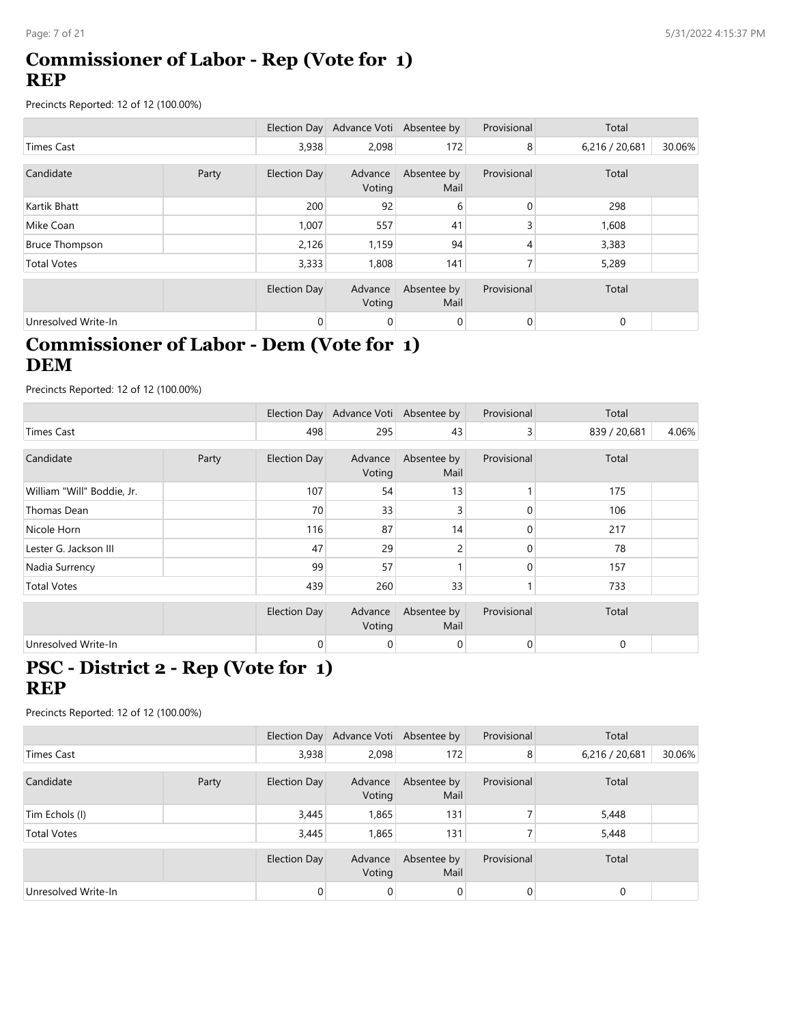### **Commissioner of Labor - Rep (Vote for 1) REP**

Precincts Reported: 12 of 12 (100.00%)

|                       |       |              | Election Day Advance Voti Absentee by |                     | Provisional | Total          |        |
|-----------------------|-------|--------------|---------------------------------------|---------------------|-------------|----------------|--------|
| Times Cast            |       | 3,938        | 2.098                                 | 172                 | 8           | 6,216 / 20,681 | 30.06% |
| Candidate             | Party | Election Day | Advance<br>Voting                     | Absentee by<br>Mail | Provisional | Total          |        |
| Kartik Bhatt          |       | 200          | 92                                    | 6                   | 0           | 298            |        |
| Mike Coan             |       | 1,007        | 557                                   | 41                  | 3           | 1,608          |        |
| <b>Bruce Thompson</b> |       | 2,126        | 1,159                                 | 94                  | 4           | 3,383          |        |
| <b>Total Votes</b>    |       | 3,333        | 1,808                                 | 141                 | 7           | 5,289          |        |
|                       |       | Election Day | Advance<br>Voting                     | Absentee by<br>Mail | Provisional | Total          |        |
| Unresolved Write-In   |       | 0            | 0                                     | 0                   | 0           | 0              |        |

## **Commissioner of Labor - Dem (Vote for 1) DEM**

Precincts Reported: 12 of 12 (100.00%)

|                            |       |                     | Election Day Advance Voti Absentee by |                     | Provisional | Total        |       |
|----------------------------|-------|---------------------|---------------------------------------|---------------------|-------------|--------------|-------|
| <b>Times Cast</b>          |       | 498                 | 295                                   | 43                  | 3           | 839 / 20,681 | 4.06% |
| Candidate                  | Party | <b>Election Day</b> | Advance<br>Voting                     | Absentee by<br>Mail | Provisional | Total        |       |
| William "Will" Boddie, Jr. |       | 107                 | 54                                    | 13                  |             | 175          |       |
| Thomas Dean                |       | 70                  | 33                                    | 3                   |             | 106          |       |
| Nicole Horn                |       | 116                 | 87                                    | 14                  | 0           | 217          |       |
| Lester G. Jackson III      |       | 47                  | 29                                    | 2                   |             | 78           |       |
| Nadia Surrency             |       | 99                  | 57                                    |                     | 0           | 157          |       |
| <b>Total Votes</b>         |       | 439                 | 260                                   | 33                  |             | 733          |       |
|                            |       | <b>Election Day</b> | Advance<br>Voting                     | Absentee by<br>Mail | Provisional | Total        |       |
| Unresolved Write-In        |       | 0                   | 0                                     | 0                   | 0           | 0            |       |

### **PSC - District 2 - Rep (Vote for 1) REP**

|                     |  |                | Election Day Advance Voti Absentee by |                     | Provisional | Total          |        |
|---------------------|--|----------------|---------------------------------------|---------------------|-------------|----------------|--------|
| <b>Times Cast</b>   |  | 3,938          | 2,098                                 | 172                 | 8           | 6,216 / 20,681 | 30.06% |
| Candidate<br>Party  |  | Election Day   | Advance<br>Voting                     | Absentee by<br>Mail | Provisional | Total          |        |
| Tim Echols (I)      |  | 3,445          | 1,865                                 | 131                 |             | 5,448          |        |
| <b>Total Votes</b>  |  | 3,445          | 1,865                                 | 131                 |             | 5,448          |        |
|                     |  | Election Day   | Advance<br>Voting                     | Absentee by<br>Mail | Provisional | Total          |        |
| Unresolved Write-In |  | $\overline{0}$ | 0                                     | $\overline{0}$      | 0           | $\Omega$       |        |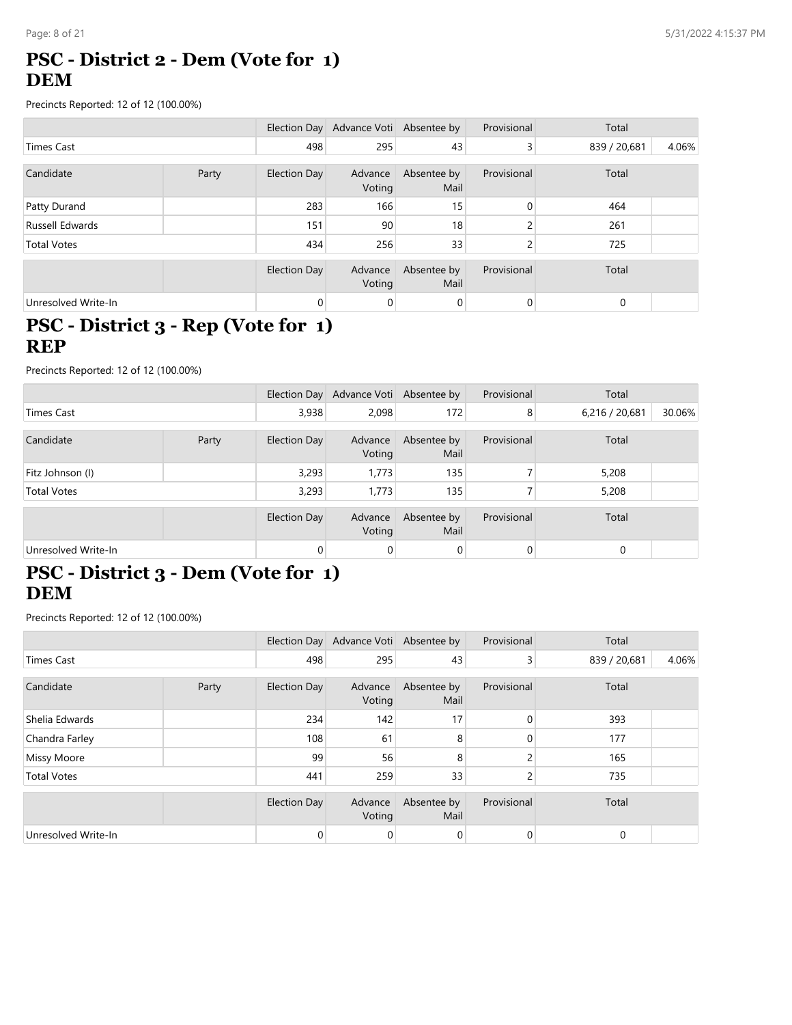### **PSC - District 2 - Dem (Vote for 1) DEM**

Precincts Reported: 12 of 12 (100.00%)

|                     |       |              | Election Day Advance Voti Absentee by |                     | Provisional    | Total        |       |
|---------------------|-------|--------------|---------------------------------------|---------------------|----------------|--------------|-------|
| Times Cast          |       | 498          | 295                                   | 43                  | 3              | 839 / 20,681 | 4.06% |
|                     |       |              |                                       |                     |                |              |       |
| Candidate           | Party | Election Day | Advance<br>Voting                     | Absentee by<br>Mail | Provisional    | Total        |       |
| Patty Durand        |       | 283          | 166                                   | 15                  | 0              | 464          |       |
| Russell Edwards     |       | 151          | 90                                    | 18                  | C              | 261          |       |
| <b>Total Votes</b>  |       | 434          | 256                                   | 33                  | C              | 725          |       |
|                     |       | Election Day | Advance<br>Voting                     | Absentee by<br>Mail | Provisional    | Total        |       |
| Unresolved Write-In |       | 0            | 0                                     | 0                   | $\overline{0}$ | $\mathbf 0$  |       |

#### **PSC - District 3 - Rep (Vote for 1) REP**

Precincts Reported: 12 of 12 (100.00%)

|                     |  |              | Election Day Advance Voti Absentee by |                     | Provisional | Total          |        |
|---------------------|--|--------------|---------------------------------------|---------------------|-------------|----------------|--------|
| Times Cast          |  | 3,938        | 2,098                                 | 172                 | 8           | 6,216 / 20,681 | 30.06% |
| Candidate<br>Party  |  | Election Day | Advance<br>Voting                     | Absentee by<br>Mail | Provisional | Total          |        |
| Fitz Johnson (I)    |  | 3,293        | 1,773                                 | 135                 |             | 5,208          |        |
| <b>Total Votes</b>  |  | 3,293        | 1,773                                 | 135                 |             | 5,208          |        |
|                     |  | Election Day | Advance<br>Voting                     | Absentee by<br>Mail | Provisional | Total          |        |
| Unresolved Write-In |  | 0            | 0                                     | 0                   | 0           | $\mathbf 0$    |        |

## **PSC - District 3 - Dem (Vote for 1) DEM**

|                     |  |                     | Election Day Advance Voti Absentee by |                     | Provisional    | Total        |       |
|---------------------|--|---------------------|---------------------------------------|---------------------|----------------|--------------|-------|
| Times Cast          |  | 498                 | 295                                   | 43                  | $\overline{3}$ | 839 / 20,681 | 4.06% |
| Candidate<br>Party  |  | Election Day        | Advance<br>Voting                     | Absentee by<br>Mail | Provisional    | Total        |       |
| Shelia Edwards      |  | 234                 | 142                                   | 17                  | $\mathbf{0}$   | 393          |       |
| Chandra Farley      |  | 108                 | 61                                    | 8                   | 0              | 177          |       |
| Missy Moore         |  | 99                  | 56                                    | 8                   | C              | 165          |       |
| <b>Total Votes</b>  |  | 441                 | 259                                   | 33                  | 2              | 735          |       |
|                     |  | <b>Election Day</b> | Advance<br>Voting                     | Absentee by<br>Mail | Provisional    | Total        |       |
| Unresolved Write-In |  | 0                   | 0                                     | $\overline{0}$      | $\overline{0}$ | 0            |       |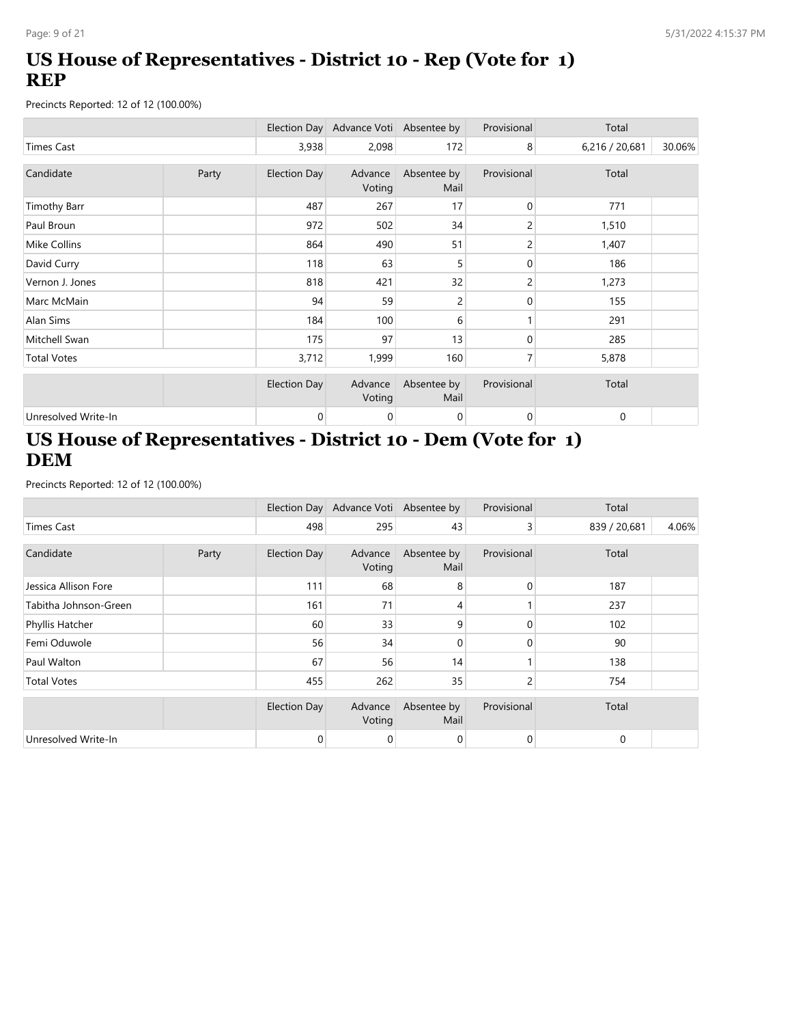## **US House of Representatives - District 10 - Rep (Vote for 1) REP**

Precincts Reported: 12 of 12 (100.00%)

|                     |       |                     | Election Day Advance Voti Absentee by |                     | Provisional    | Total          |        |
|---------------------|-------|---------------------|---------------------------------------|---------------------|----------------|----------------|--------|
| <b>Times Cast</b>   |       | 3,938               | 2,098                                 | 172                 | 8              | 6,216 / 20,681 | 30.06% |
| Candidate           | Party | Election Day        | Advance<br>Voting                     | Absentee by<br>Mail | Provisional    | Total          |        |
| <b>Timothy Barr</b> |       | 487                 | 267                                   | 17                  | 0              | 771            |        |
| Paul Broun          |       | 972                 | 502                                   | 34                  | 2              | 1,510          |        |
| <b>Mike Collins</b> |       | 864                 | 490                                   | 51                  | 2              | 1,407          |        |
| David Curry         |       | 118                 | 63                                    | 5                   | 0              | 186            |        |
| Vernon J. Jones     |       | 818                 | 421                                   | 32                  | 2              | 1,273          |        |
| Marc McMain         |       | 94                  | 59                                    | 2                   | $\overline{0}$ | 155            |        |
| Alan Sims           |       | 184                 | 100                                   | 6                   |                | 291            |        |
| Mitchell Swan       |       | 175                 | 97                                    | 13                  | 0              | 285            |        |
| <b>Total Votes</b>  |       | 3,712               | 1,999                                 | 160                 | 7              | 5,878          |        |
|                     |       | <b>Election Day</b> | Advance<br>Voting                     | Absentee by<br>Mail | Provisional    | Total          |        |
| Unresolved Write-In |       | 0                   | 0                                     | 0                   | $\overline{0}$ | 0              |        |

## **US House of Representatives - District 10 - Dem (Vote for 1) DEM**

|                       |       |                     | Election Day Advance Voti Absentee by |                     | Provisional | Total        |       |
|-----------------------|-------|---------------------|---------------------------------------|---------------------|-------------|--------------|-------|
| <b>Times Cast</b>     |       | 498                 | 295                                   | 43                  | 3           | 839 / 20,681 | 4.06% |
| Candidate             | Party | <b>Election Day</b> | Advance<br>Voting                     | Absentee by<br>Mail | Provisional | Total        |       |
| Jessica Allison Fore  |       | 111                 | 68                                    | 8                   | 0           | 187          |       |
| Tabitha Johnson-Green |       | 161                 | 71                                    | 4                   |             | 237          |       |
| Phyllis Hatcher       |       | 60                  | 33                                    | 9                   | $\Omega$    | 102          |       |
| Femi Oduwole          |       | 56                  | 34                                    | $\Omega$            | 0           | 90           |       |
| Paul Walton           |       | 67                  | 56                                    | 14                  |             | 138          |       |
| <b>Total Votes</b>    |       | 455                 | 262                                   | 35                  | 2           | 754          |       |
|                       |       | <b>Election Day</b> | Advance<br>Voting                     | Absentee by<br>Mail | Provisional | Total        |       |
| Unresolved Write-In   |       | $\mathbf 0$         | 0                                     | 0                   | 0           | $\mathbf 0$  |       |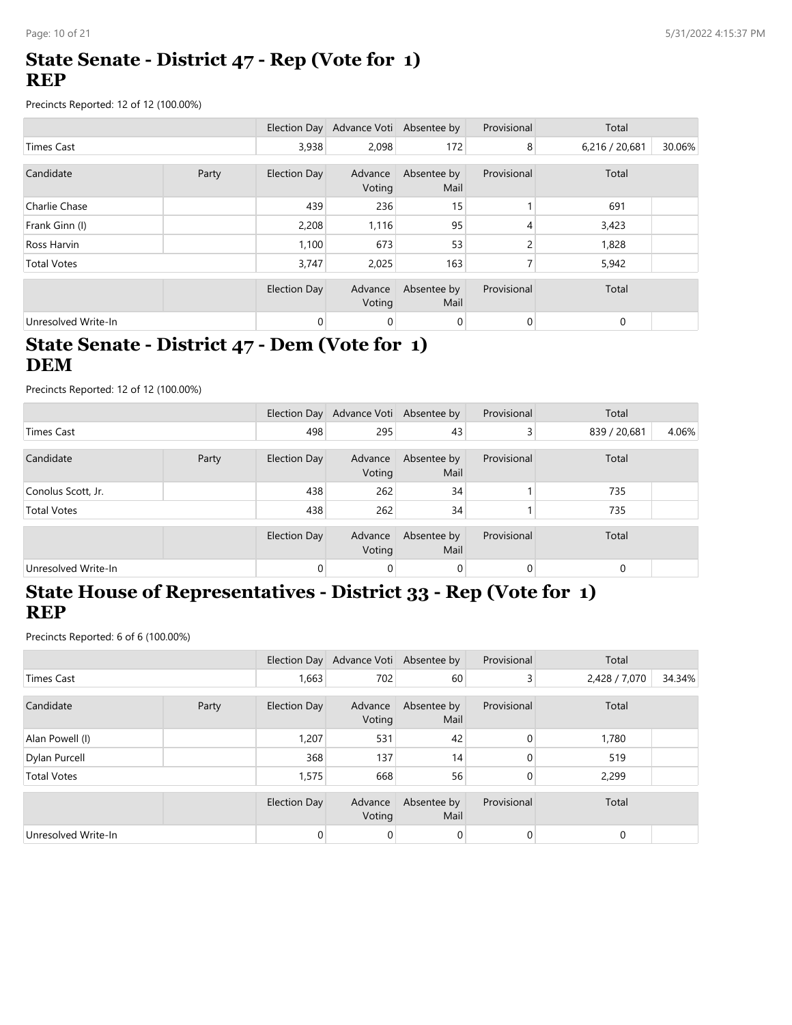#### **State Senate - District 47 - Rep (Vote for 1) REP**

Precincts Reported: 12 of 12 (100.00%)

|                     |       |                     | Election Day Advance Voti Absentee by |                     | Provisional    | Total          |        |
|---------------------|-------|---------------------|---------------------------------------|---------------------|----------------|----------------|--------|
| Times Cast          |       | 3,938               | 2,098                                 | 172                 | 8              | 6,216 / 20,681 | 30.06% |
| Candidate           | Party | Election Day        | Advance<br>Voting                     | Absentee by<br>Mail | Provisional    | Total          |        |
| Charlie Chase       |       | 439                 | 236                                   | 15                  |                | 691            |        |
| Frank Ginn (I)      |       | 2,208               | 1,116                                 | 95                  | 4              | 3,423          |        |
| Ross Harvin         |       | 1,100               | 673                                   | 53                  | 2              | 1,828          |        |
| <b>Total Votes</b>  |       | 3,747               | 2,025                                 | 163                 | 7              | 5,942          |        |
|                     |       | <b>Election Day</b> | Advance<br>Voting                     | Absentee by<br>Mail | Provisional    | Total          |        |
| Unresolved Write-In |       | 0                   | 0                                     | 0                   | $\overline{0}$ | 0              |        |

## **State Senate - District 47 - Dem (Vote for 1) DEM**

Precincts Reported: 12 of 12 (100.00%)

|                     |       |                     | Election Day Advance Voti Absentee by |                     | Provisional    | Total        |       |
|---------------------|-------|---------------------|---------------------------------------|---------------------|----------------|--------------|-------|
| Times Cast          |       | 498                 | 295                                   | 43                  | $\overline{3}$ | 839 / 20,681 | 4.06% |
| Candidate           | Party | Election Day        | Advance<br>Voting                     | Absentee by<br>Mail | Provisional    | Total        |       |
| Conolus Scott, Jr.  |       | 438                 | 262                                   | 34                  |                | 735          |       |
| <b>Total Votes</b>  |       | 438                 | 262                                   | 34                  |                | 735          |       |
|                     |       | <b>Election Day</b> | Advance<br>Voting                     | Absentee by<br>Mail | Provisional    | Total        |       |
| Unresolved Write-In |       | 0                   | $\mathbf 0$                           | $\mathbf 0$         | $\overline{0}$ | $\Omega$     |       |

## **State House of Representatives - District 33 - Rep (Vote for 1) REP**

|                     |  |              | Election Day Advance Voti Absentee by |                     | Provisional    | Total         |        |
|---------------------|--|--------------|---------------------------------------|---------------------|----------------|---------------|--------|
| <b>Times Cast</b>   |  | 1,663        | 702                                   | 60                  | 3 <sup>1</sup> | 2,428 / 7,070 | 34.34% |
| Candidate<br>Party  |  | Election Day | Advance<br>Voting                     | Absentee by<br>Mail | Provisional    | Total         |        |
| Alan Powell (I)     |  | 1,207        | 531                                   | 42                  | $\mathbf{0}$   | 1,780         |        |
| Dylan Purcell       |  | 368          | 137                                   | 14                  | 0              | 519           |        |
| <b>Total Votes</b>  |  | 1,575        | 668                                   | 56                  | 0              | 2,299         |        |
|                     |  | Election Day | Advance<br>Voting                     | Absentee by<br>Mail | Provisional    | Total         |        |
| Unresolved Write-In |  | 0            | 0                                     | 0                   | 0              | 0             |        |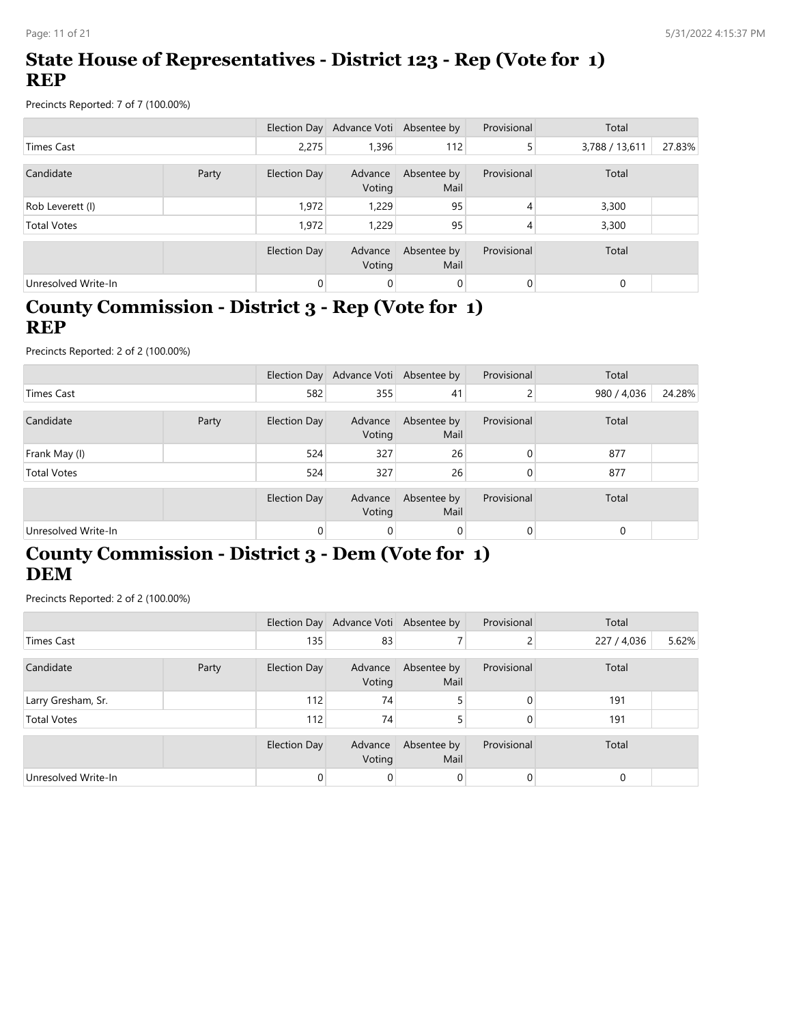## **State House of Representatives - District 123 - Rep (Vote for 1) REP**

Precincts Reported: 7 of 7 (100.00%)

|                     |       |              | Election Day Advance Voti Absentee by |                     | Provisional | Total          |        |
|---------------------|-------|--------------|---------------------------------------|---------------------|-------------|----------------|--------|
| Times Cast          |       | 2.275        | 1,396                                 | 112                 | 5           | 3,788 / 13,611 | 27.83% |
| Candidate           | Party | Election Day | Advance<br>Voting                     | Absentee by<br>Mail | Provisional | Total          |        |
| Rob Leverett (I)    |       | 1,972        | 1,229                                 | 95                  | 4           | 3,300          |        |
| <b>Total Votes</b>  |       | 1,972        | 1.229                                 | 95                  | 4           | 3,300          |        |
|                     |       | Election Day | Advance<br>Voting                     | Absentee by<br>Mail | Provisional | Total          |        |
| Unresolved Write-In |       | 0            | 0                                     | $\mathbf 0$         | 0           | $\Omega$       |        |

### **County Commission - District 3 - Rep (Vote for 1) REP**

Precincts Reported: 2 of 2 (100.00%)

|                     |       |              | Election Day Advance Voti Absentee by |                     | Provisional | Total       |        |
|---------------------|-------|--------------|---------------------------------------|---------------------|-------------|-------------|--------|
| <b>Times Cast</b>   |       | 582          | 355                                   | 41                  | 2           | 980 / 4,036 | 24.28% |
| Candidate           | Party | Election Day | Advance<br>Voting                     | Absentee by<br>Mail | Provisional | Total       |        |
| Frank May (I)       |       | 524          | 327                                   | 26                  | 0           | 877         |        |
| <b>Total Votes</b>  |       | 524          | 327                                   | 26                  | 0           | 877         |        |
|                     |       | Election Day | Advance<br>Voting                     | Absentee by<br>Mail | Provisional | Total       |        |
| Unresolved Write-In |       | 0            | 0                                     | 0                   | 0           | 0           |        |

## **County Commission - District 3 - Dem (Vote for 1) DEM**

|                     |  |                     | Election Day Advance Voti Absentee by |                     | Provisional    | Total       |       |
|---------------------|--|---------------------|---------------------------------------|---------------------|----------------|-------------|-------|
| Times Cast          |  | 135                 | 83                                    |                     | C.             | 227 / 4,036 | 5.62% |
| Candidate<br>Party  |  | <b>Election Day</b> | Advance<br>Voting                     | Absentee by<br>Mail | Provisional    | Total       |       |
| Larry Gresham, Sr.  |  | 112                 | 74                                    | 5                   | $\Omega$       | 191         |       |
| <b>Total Votes</b>  |  | 112                 | 74                                    | 5                   | 0              | 191         |       |
|                     |  | Election Day        | Advance<br>Voting                     | Absentee by<br>Mail | Provisional    | Total       |       |
| Unresolved Write-In |  | $\Omega$            | 0                                     | 0                   | $\overline{0}$ | $\mathbf 0$ |       |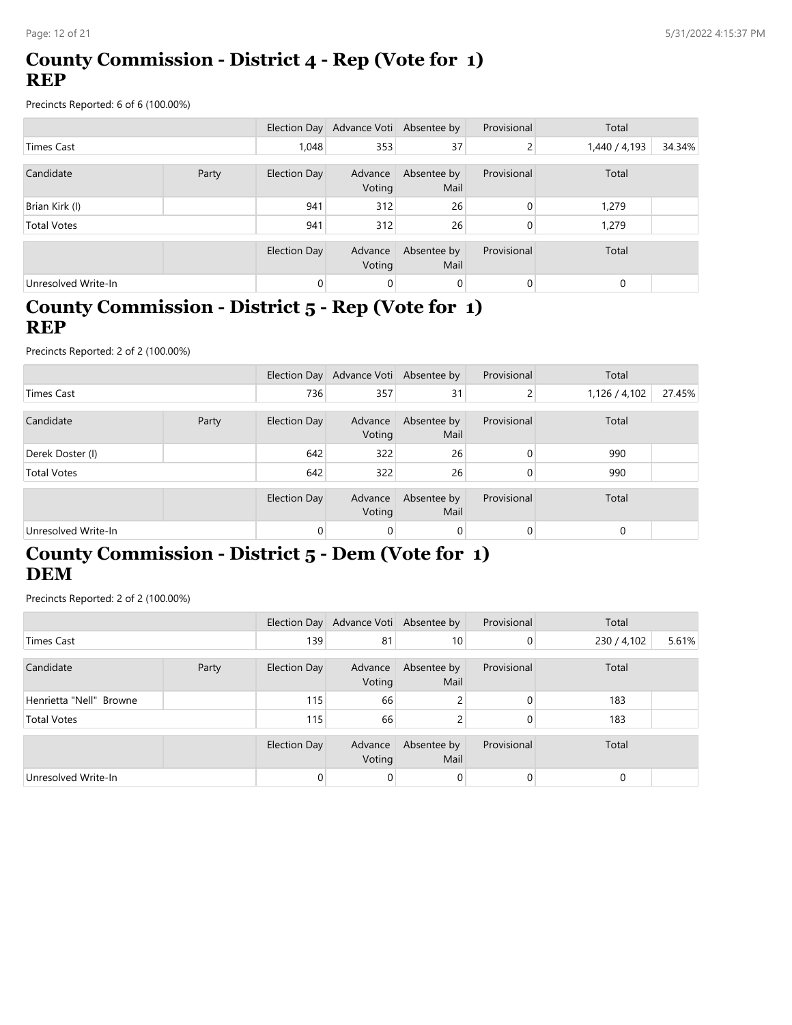### **County Commission - District 4 - Rep (Vote for 1) REP**

Precincts Reported: 6 of 6 (100.00%)

|                     |  |                | Election Day Advance Voti Absentee by |                     | Provisional | Total         |        |
|---------------------|--|----------------|---------------------------------------|---------------------|-------------|---------------|--------|
| <b>Times Cast</b>   |  | 1,048          | 353                                   | 37                  | 2           | 1,440 / 4,193 | 34.34% |
| Candidate<br>Party  |  | Election Day   | Advance<br>Voting                     | Absentee by<br>Mail | Provisional | Total         |        |
| Brian Kirk (I)      |  | 941            | 312                                   | 26                  | $\Omega$    | 1,279         |        |
| <b>Total Votes</b>  |  | 941            | 312                                   | 26                  | 0           | 1,279         |        |
|                     |  | Election Day   | Advance<br>Voting                     | Absentee by<br>Mail | Provisional | Total         |        |
| Unresolved Write-In |  | $\overline{0}$ | $\mathbf 0$                           | 0                   | 0           | 0             |        |

### **County Commission - District 5 - Rep (Vote for 1) REP**

Precincts Reported: 2 of 2 (100.00%)

|                     |       |              | Election Day Advance Voti Absentee by |                     | Provisional | Total         |        |
|---------------------|-------|--------------|---------------------------------------|---------------------|-------------|---------------|--------|
| Times Cast          |       | 736          | 357                                   | 31                  | 2           | 1,126 / 4,102 | 27.45% |
| Candidate           | Party | Election Day | Advance<br>Voting                     | Absentee by<br>Mail | Provisional | Total         |        |
| Derek Doster (I)    |       | 642          | 322                                   | 26                  | 0           | 990           |        |
| <b>Total Votes</b>  |       | 642          | 322                                   | 26                  |             | 990           |        |
|                     |       | Election Day | Advance<br>Voting                     | Absentee by<br>Mail | Provisional | Total         |        |
| Unresolved Write-In |       | 0            | 0                                     | 0                   |             | 0             |        |

## **County Commission - District 5 - Dem (Vote for 1) DEM**

|                         |  |                     | Election Day Advance Voti Absentee by |                     | Provisional    | Total       |       |
|-------------------------|--|---------------------|---------------------------------------|---------------------|----------------|-------------|-------|
| Times Cast              |  | 139                 | 81                                    | 10 <sup>°</sup>     | $\overline{0}$ | 230 / 4,102 | 5.61% |
| Candidate<br>Party      |  | <b>Election Day</b> | Advance<br>Voting                     | Absentee by<br>Mail | Provisional    | Total       |       |
| Henrietta "Nell" Browne |  | 115                 | 66                                    | 2                   | $\Omega$       | 183         |       |
| <b>Total Votes</b>      |  | 115                 | 66                                    | 2                   | 0              | 183         |       |
|                         |  | Election Day        | Advance<br>Voting                     | Absentee by<br>Mail | Provisional    | Total       |       |
| Unresolved Write-In     |  | 0                   | 0                                     | 0                   | $\overline{0}$ | $\mathbf 0$ |       |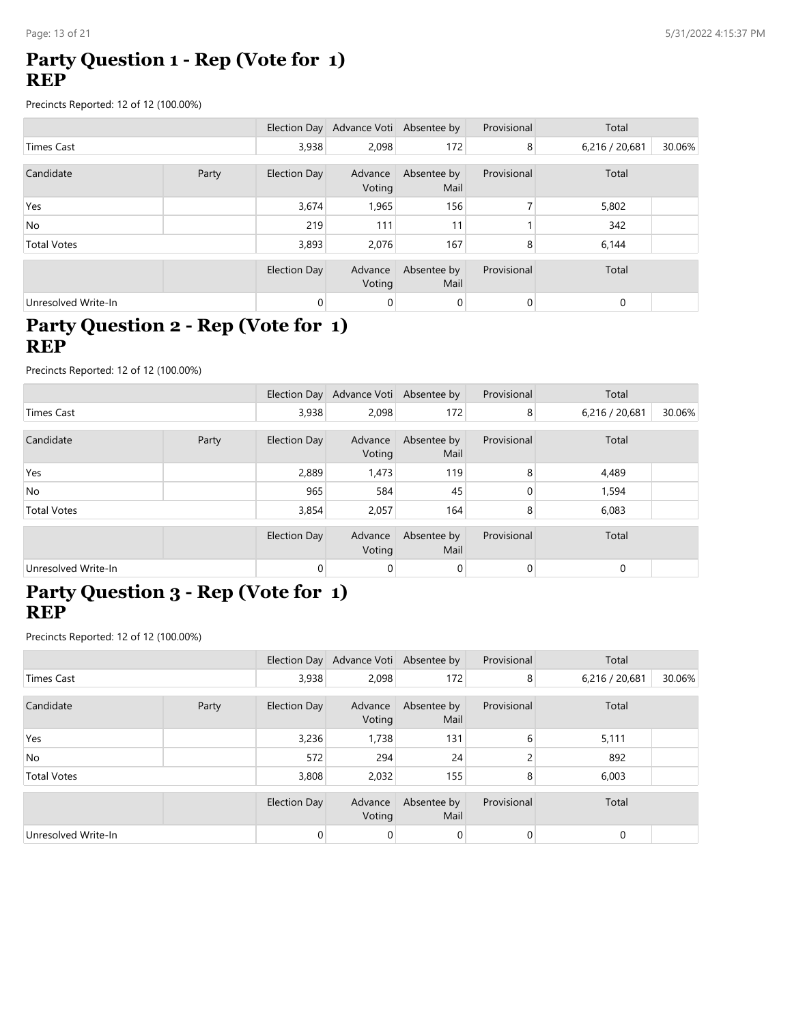#### **Party Question 1 - Rep (Vote for 1) REP**

Precincts Reported: 12 of 12 (100.00%)

|                     |  |                     | Election Day Advance Voti Absentee by |                     | Provisional    | Total          |        |
|---------------------|--|---------------------|---------------------------------------|---------------------|----------------|----------------|--------|
| <b>Times Cast</b>   |  | 3,938               | 2,098                                 | 172                 | 8              | 6,216 / 20,681 | 30.06% |
| Candidate<br>Party  |  | <b>Election Day</b> | Advance<br>Voting                     | Absentee by<br>Mail | Provisional    | Total          |        |
| Yes                 |  | 3,674               | 1,965                                 | 156                 |                | 5,802          |        |
| <b>No</b>           |  | 219                 | 111                                   | 11                  |                | 342            |        |
| <b>Total Votes</b>  |  | 3,893               | 2,076                                 | 167                 | 8              | 6,144          |        |
|                     |  | Election Day        | Advance<br>Voting                     | Absentee by<br>Mail | Provisional    | Total          |        |
| Unresolved Write-In |  | 0                   | 0                                     | 0                   | $\overline{0}$ | $\mathbf 0$    |        |

### **Party Question 2 - Rep (Vote for 1) REP**

Precincts Reported: 12 of 12 (100.00%)

|                     |       |                     | Election Day Advance Voti Absentee by |                     | Provisional | Total          |        |
|---------------------|-------|---------------------|---------------------------------------|---------------------|-------------|----------------|--------|
| Times Cast          |       | 3,938               | 2,098                                 | 172                 | 8           | 6,216 / 20,681 | 30.06% |
| Candidate           | Party | Election Day        | Advance<br>Voting                     | Absentee by<br>Mail | Provisional | Total          |        |
| Yes                 |       | 2,889               | 1,473                                 | 119                 | 8           | 4,489          |        |
| <b>No</b>           |       | 965                 | 584                                   | 45                  | 0           | 1,594          |        |
| <b>Total Votes</b>  |       | 3,854               | 2,057                                 | 164                 | 8           | 6,083          |        |
|                     |       | <b>Election Day</b> | Advance<br>Voting                     | Absentee by<br>Mail | Provisional | Total          |        |
| Unresolved Write-In |       | $\overline{0}$      | 0                                     | 0                   | 0           | $\mathbf 0$    |        |

#### **Party Question 3 - Rep (Vote for 1) REP**

|                     |       |              | Election Day Advance Voti Absentee by |                     | Provisional | Total          |        |
|---------------------|-------|--------------|---------------------------------------|---------------------|-------------|----------------|--------|
| Times Cast          |       | 3,938        | 2,098                                 | 172                 | 8           | 6,216 / 20,681 | 30.06% |
| Candidate           | Party | Election Day | Advance<br>Voting                     | Absentee by<br>Mail | Provisional | Total          |        |
| Yes                 |       | 3,236        | 1,738                                 | 131                 | 6           | 5,111          |        |
| No                  |       | 572          | 294                                   | 24                  |             | 892            |        |
| <b>Total Votes</b>  |       | 3,808        | 2,032                                 | 155                 | 8           | 6,003          |        |
|                     |       | Election Day | Advance<br>Voting                     | Absentee by<br>Mail | Provisional | Total          |        |
| Unresolved Write-In |       | 0            | 0                                     | 0                   | 0           | 0              |        |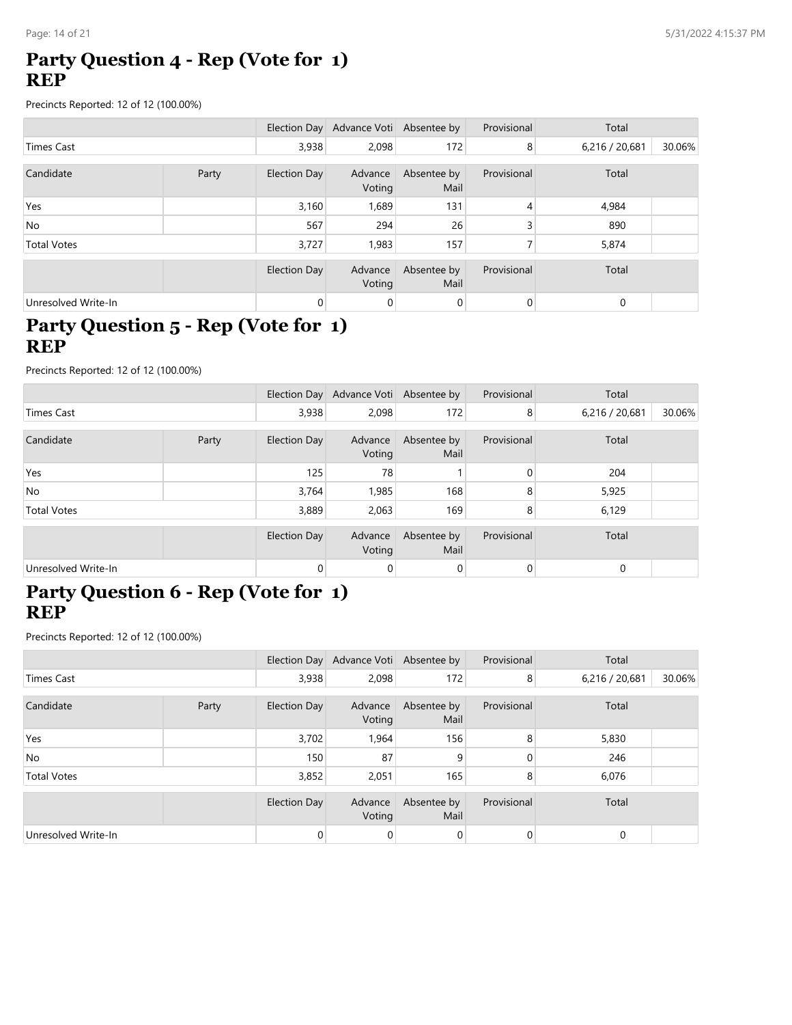#### **Party Question 4 - Rep (Vote for 1) REP**

Precincts Reported: 12 of 12 (100.00%)

|                     |  |              | Election Day Advance Voti Absentee by |                     | Provisional    | Total          |        |
|---------------------|--|--------------|---------------------------------------|---------------------|----------------|----------------|--------|
| Times Cast          |  | 3,938        | 2,098                                 | 172                 | 8              | 6,216 / 20,681 | 30.06% |
| Candidate<br>Party  |  | Election Day | Advance<br>Voting                     | Absentee by<br>Mail | Provisional    | Total          |        |
| Yes                 |  | 3,160        | 1,689                                 | 131                 | 4              | 4,984          |        |
| <b>No</b>           |  | 567          | 294                                   | 26                  | 3              | 890            |        |
| <b>Total Votes</b>  |  | 3,727        | 1.983                                 | 157                 | ⇁              | 5,874          |        |
|                     |  | Election Day | Advance<br>Voting                     | Absentee by<br>Mail | Provisional    | Total          |        |
| Unresolved Write-In |  | 0            | 0                                     | 0                   | $\overline{0}$ | $\mathbf 0$    |        |

### **Party Question 5 - Rep (Vote for 1) REP**

Precincts Reported: 12 of 12 (100.00%)

|                     |       |                | Election Day Advance Voti Absentee by |                     | Provisional | Total          |        |
|---------------------|-------|----------------|---------------------------------------|---------------------|-------------|----------------|--------|
| Times Cast          |       | 3,938          | 2,098                                 | 172                 | 8           | 6,216 / 20,681 | 30.06% |
| Candidate           | Party | Election Day   | Advance<br>Voting                     | Absentee by<br>Mail | Provisional | Total          |        |
| Yes                 |       | 125            | 78                                    |                     | 0           | 204            |        |
| <b>No</b>           |       | 3,764          | 1,985                                 | 168                 | 8           | 5,925          |        |
| <b>Total Votes</b>  |       | 3,889          | 2,063                                 | 169                 | 8           | 6,129          |        |
|                     |       | Election Day   | Advance<br>Voting                     | Absentee by<br>Mail | Provisional | Total          |        |
| Unresolved Write-In |       | $\overline{0}$ | 0                                     | 0                   | 0           | $\mathbf 0$    |        |

### **Party Question 6 - Rep (Vote for 1) REP**

|                     |       |              | Election Day Advance Voti Absentee by |                     | Provisional | Total          |        |
|---------------------|-------|--------------|---------------------------------------|---------------------|-------------|----------------|--------|
| Times Cast          |       | 3,938        | 2,098                                 | 172                 | 8           | 6,216 / 20,681 | 30.06% |
| Candidate           | Party | Election Day | Advance<br>Voting                     | Absentee by<br>Mail | Provisional | Total          |        |
| Yes                 |       | 3,702        | 1,964                                 | 156                 | 8           | 5,830          |        |
| <b>No</b>           |       | 150          | 87                                    | 9                   |             | 246            |        |
| <b>Total Votes</b>  |       | 3,852        | 2,051                                 | 165                 | 8           | 6,076          |        |
|                     |       | Election Day | Advance<br>Voting                     | Absentee by<br>Mail | Provisional | Total          |        |
| Unresolved Write-In |       | 0            | 0                                     | 0                   | 0           | 0              |        |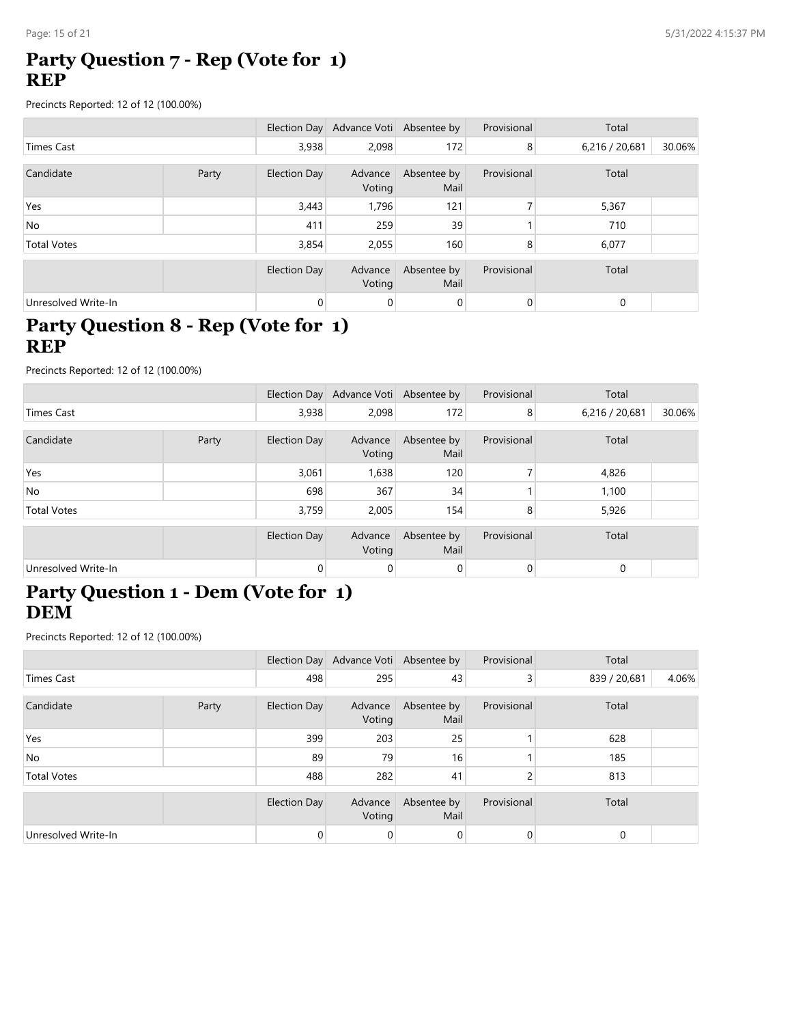#### **Party Question 7 - Rep (Vote for 1) REP**

Precincts Reported: 12 of 12 (100.00%)

|                     |       |              | Election Day Advance Voti Absentee by |                     | Provisional    | Total          |        |
|---------------------|-------|--------------|---------------------------------------|---------------------|----------------|----------------|--------|
| Times Cast          |       | 3,938        | 2,098                                 | 172                 | 8              | 6,216 / 20,681 | 30.06% |
| Candidate           | Party | Election Day | Advance<br>Voting                     | Absentee by<br>Mail | Provisional    | Total          |        |
| Yes                 |       | 3,443        | 1,796                                 | 121                 |                | 5,367          |        |
| No.                 |       | 411          | 259                                   | 39                  |                | 710            |        |
| <b>Total Votes</b>  |       | 3,854        | 2,055                                 | 160                 | 8              | 6,077          |        |
|                     |       | Election Day | Advance<br>Voting                     | Absentee by<br>Mail | Provisional    | Total          |        |
| Unresolved Write-In |       | 0            | 0                                     | 0                   | $\overline{0}$ | $\mathbf 0$    |        |

### **Party Question 8 - Rep (Vote for 1) REP**

Precincts Reported: 12 of 12 (100.00%)

|                     |       |                | Election Day Advance Voti Absentee by |                     | Provisional | Total          |        |
|---------------------|-------|----------------|---------------------------------------|---------------------|-------------|----------------|--------|
| Times Cast          |       | 3,938          | 2,098                                 | 172                 | 8           | 6,216 / 20,681 | 30.06% |
| Candidate           | Party | Election Day   | Advance<br>Voting                     | Absentee by<br>Mail | Provisional | Total          |        |
| Yes                 |       | 3,061          | 1,638                                 | 120                 |             | 4,826          |        |
| <b>No</b>           |       | 698            | 367                                   | 34                  |             | 1,100          |        |
| <b>Total Votes</b>  |       | 3,759          | 2,005                                 | 154                 | 8           | 5,926          |        |
|                     |       | Election Day   | Advance<br>Voting                     | Absentee by<br>Mail | Provisional | Total          |        |
| Unresolved Write-In |       | $\overline{0}$ | 0                                     | 0                   | 0           | $\mathbf 0$    |        |

#### **Party Question 1 - Dem (Vote for 1) DEM**

|                     |       |              | Election Day Advance Voti Absentee by |                     | Provisional    | Total        |       |
|---------------------|-------|--------------|---------------------------------------|---------------------|----------------|--------------|-------|
| Times Cast          |       | 498          | 295                                   | 43                  | 3 <sup>1</sup> | 839 / 20,681 | 4.06% |
| Candidate           | Party | Election Day | Advance<br>Voting                     | Absentee by<br>Mail | Provisional    | Total        |       |
| Yes                 |       | 399          | 203                                   | 25                  |                | 628          |       |
| No.                 |       | 89           | 79                                    | 16                  |                | 185          |       |
| <b>Total Votes</b>  |       | 488          | 282                                   | 41                  |                | 813          |       |
|                     |       | Election Day | Advance<br>Voting                     | Absentee by<br>Mail | Provisional    | Total        |       |
| Unresolved Write-In |       | 0            | 0                                     | 0                   | 0              | 0            |       |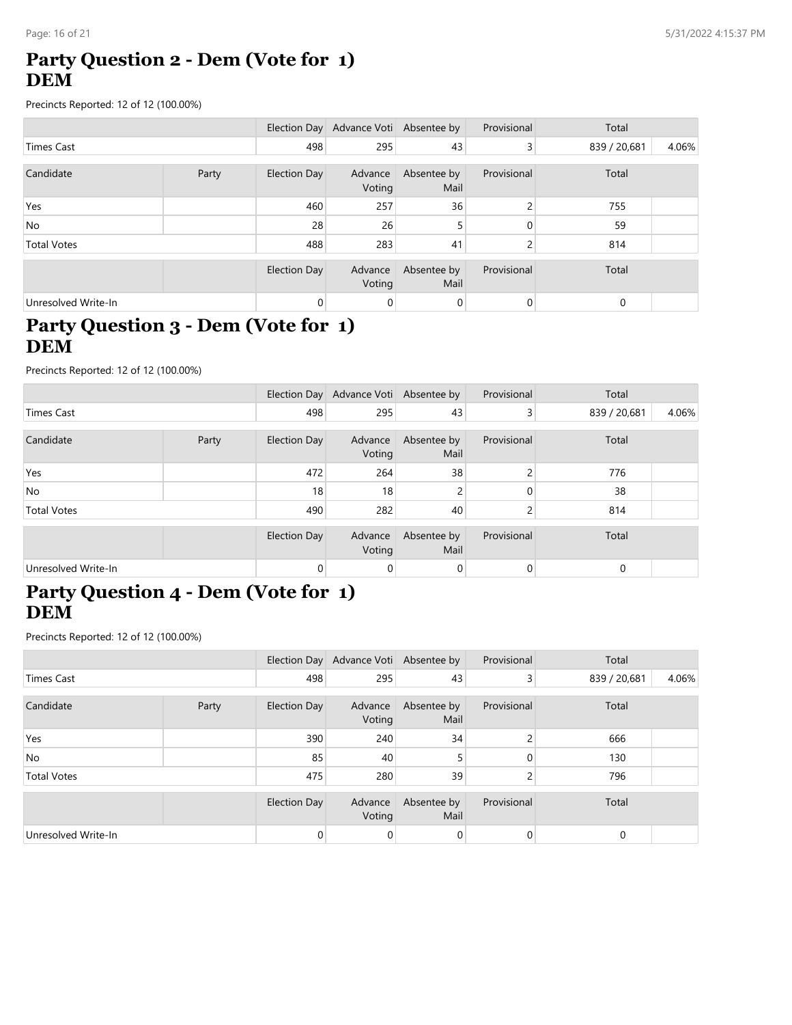### **Party Question 2 - Dem (Vote for 1) DEM**

Precincts Reported: 12 of 12 (100.00%)

|                     |       |              | Election Day Advance Voti Absentee by |                     | Provisional       | Total        |       |
|---------------------|-------|--------------|---------------------------------------|---------------------|-------------------|--------------|-------|
| <b>Times Cast</b>   |       | 498          | 295                                   | 43                  | 3                 | 839 / 20,681 | 4.06% |
|                     |       |              |                                       |                     |                   |              |       |
| Candidate           | Party | Election Day | Advance<br>Voting                     | Absentee by<br>Mail | Provisional       | Total        |       |
| Yes                 |       | 460          | 257                                   | 36                  | C.                | 755          |       |
| <b>No</b>           |       | 28           | 26                                    | 5                   | 0                 | 59           |       |
| <b>Total Votes</b>  |       | 488          | 283                                   | 41                  | $\mathbf{\Omega}$ | 814          |       |
|                     |       |              |                                       |                     |                   |              |       |
|                     |       | Election Day | Advance<br>Voting                     | Absentee by<br>Mail | Provisional       | Total        |       |
| Unresolved Write-In |       | 0            | 0                                     | 0                   | $\overline{0}$    | 0            |       |

### **Party Question 3 - Dem (Vote for 1) DEM**

Precincts Reported: 12 of 12 (100.00%)

|                     |       |                | Election Day Advance Voti Absentee by |                     | Provisional | Total        |       |
|---------------------|-------|----------------|---------------------------------------|---------------------|-------------|--------------|-------|
| Times Cast          |       | 498            | 295                                   | 43                  | 3           | 839 / 20,681 | 4.06% |
| Candidate           | Party | Election Day   | Advance<br>Voting                     | Absentee by<br>Mail | Provisional | Total        |       |
| Yes                 |       | 472            | 264                                   | 38                  | 2           | 776          |       |
| No                  |       | 18             | 18                                    |                     | 0           | 38           |       |
| <b>Total Votes</b>  |       | 490            | 282                                   | 40                  | 2           | 814          |       |
|                     |       | Election Day   | Advance<br>Voting                     | Absentee by<br>Mail | Provisional | Total        |       |
| Unresolved Write-In |       | $\overline{0}$ | 0                                     | 0                   | 0           | $\mathbf 0$  |       |

#### **Party Question 4 - Dem (Vote for 1) DEM**

|                     |       |              | Election Day Advance Voti Absentee by |                     | Provisional    | Total        |       |
|---------------------|-------|--------------|---------------------------------------|---------------------|----------------|--------------|-------|
| Times Cast          |       | 498          | 295                                   | 43                  | 3 <sup>1</sup> | 839 / 20,681 | 4.06% |
| Candidate           | Party | Election Day | Advance<br>Voting                     | Absentee by<br>Mail | Provisional    | Total        |       |
| Yes                 |       | 390          | 240                                   | 34                  | 2              | 666          |       |
| No.                 |       | 85           | 40                                    |                     | 0              | 130          |       |
| <b>Total Votes</b>  |       | 475          | 280                                   | 39                  | h              | 796          |       |
|                     |       | Election Day | Advance<br>Voting                     | Absentee by<br>Mail | Provisional    | Total        |       |
| Unresolved Write-In |       | 0            | 0                                     | 0                   | 0              | 0            |       |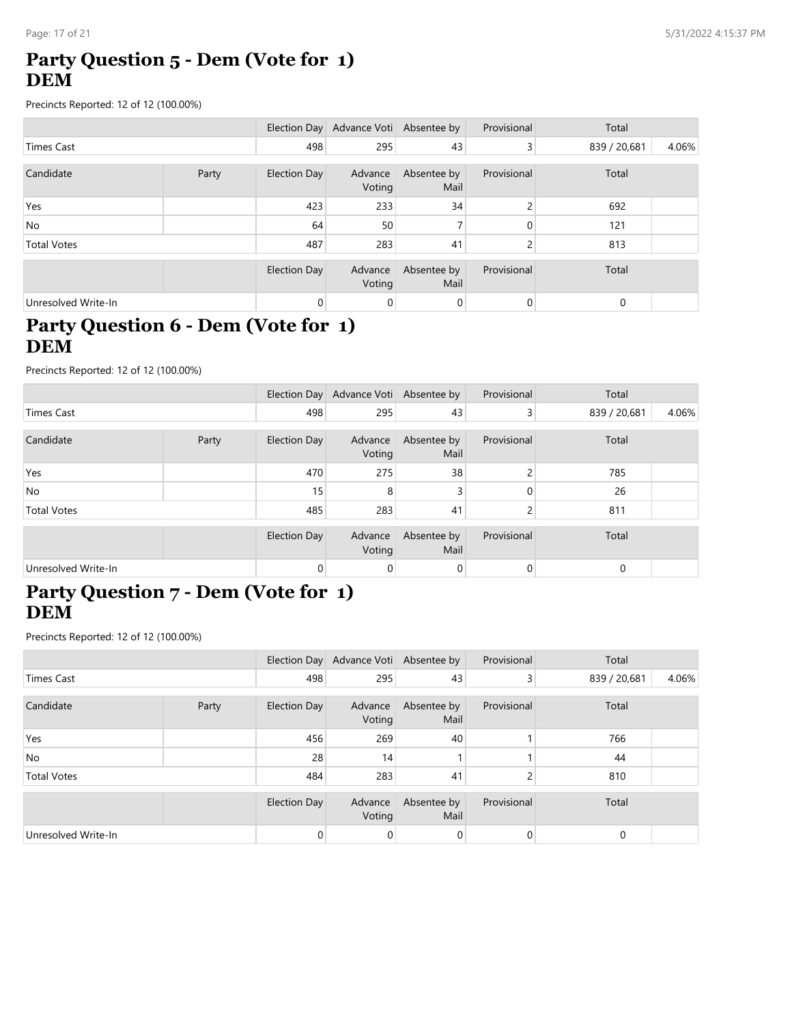### **Party Question 5 - Dem (Vote for 1) DEM**

Precincts Reported: 12 of 12 (100.00%)

|                     |       |                     | Election Day Advance Voti Absentee by |                     | Provisional | Total        |       |
|---------------------|-------|---------------------|---------------------------------------|---------------------|-------------|--------------|-------|
| Times Cast          |       |                     | 295                                   | 43                  | 3           | 839 / 20,681 | 4.06% |
|                     |       |                     |                                       |                     |             |              |       |
| Candidate           | Party | <b>Election Day</b> | Advance<br>Voting                     | Absentee by<br>Mail | Provisional | Total        |       |
| Yes                 |       | 423                 | 233                                   | 34                  | C.          | 692          |       |
| No.                 |       | 64                  | 50                                    |                     | $\Omega$    | 121          |       |
| <b>Total Votes</b>  |       | 487                 | 283                                   | 41                  | C.          | 813          |       |
|                     |       |                     |                                       |                     |             |              |       |
|                     |       | Election Day        | Advance<br>Voting                     | Absentee by<br>Mail | Provisional | Total        |       |
| Unresolved Write-In |       | 0                   | 0                                     | 0                   | 0           | 0            |       |

### **Party Question 6 - Dem (Vote for 1) DEM**

Precincts Reported: 12 of 12 (100.00%)

|                     |       |                     | Election Day Advance Voti Absentee by |                     | Provisional    | Total        |       |
|---------------------|-------|---------------------|---------------------------------------|---------------------|----------------|--------------|-------|
| Times Cast          |       | 498                 | 295                                   | 43                  | $\overline{3}$ | 839 / 20,681 | 4.06% |
| Candidate           | Party | Election Day        | Advance<br>Voting                     | Absentee by<br>Mail | Provisional    | Total        |       |
| Yes                 |       | 470                 | 275                                   | 38                  |                | 785          |       |
| <b>No</b>           |       | 15                  | 8                                     |                     |                | 26           |       |
| <b>Total Votes</b>  |       | 485                 | 283                                   | 41                  | 2              | 811          |       |
|                     |       | <b>Election Day</b> | Advance<br>Voting                     | Absentee by<br>Mail | Provisional    | Total        |       |
| Unresolved Write-In |       | 0                   | 0                                     | 0                   | 0              | $\mathbf 0$  |       |

#### **Party Question 7 - Dem (Vote for 1) DEM**

|                     |       |              | Election Day Advance Voti Absentee by |                     | Provisional    | Total        |       |
|---------------------|-------|--------------|---------------------------------------|---------------------|----------------|--------------|-------|
| <b>Times Cast</b>   |       | 498          | 295                                   | 43                  | 3 <sup>1</sup> | 839 / 20,681 | 4.06% |
| Candidate           | Party | Election Day | Advance<br>Voting                     | Absentee by<br>Mail | Provisional    | Total        |       |
| Yes                 |       | 456          | 269                                   | 40                  |                | 766          |       |
| No                  |       | 28           | 14                                    |                     |                | 44           |       |
| <b>Total Votes</b>  |       | 484          | 283                                   | 41                  |                | 810          |       |
|                     |       | Election Day | Advance<br>Voting                     | Absentee by<br>Mail | Provisional    | Total        |       |
| Unresolved Write-In |       | 0            | 0                                     | 0                   |                | $\mathbf 0$  |       |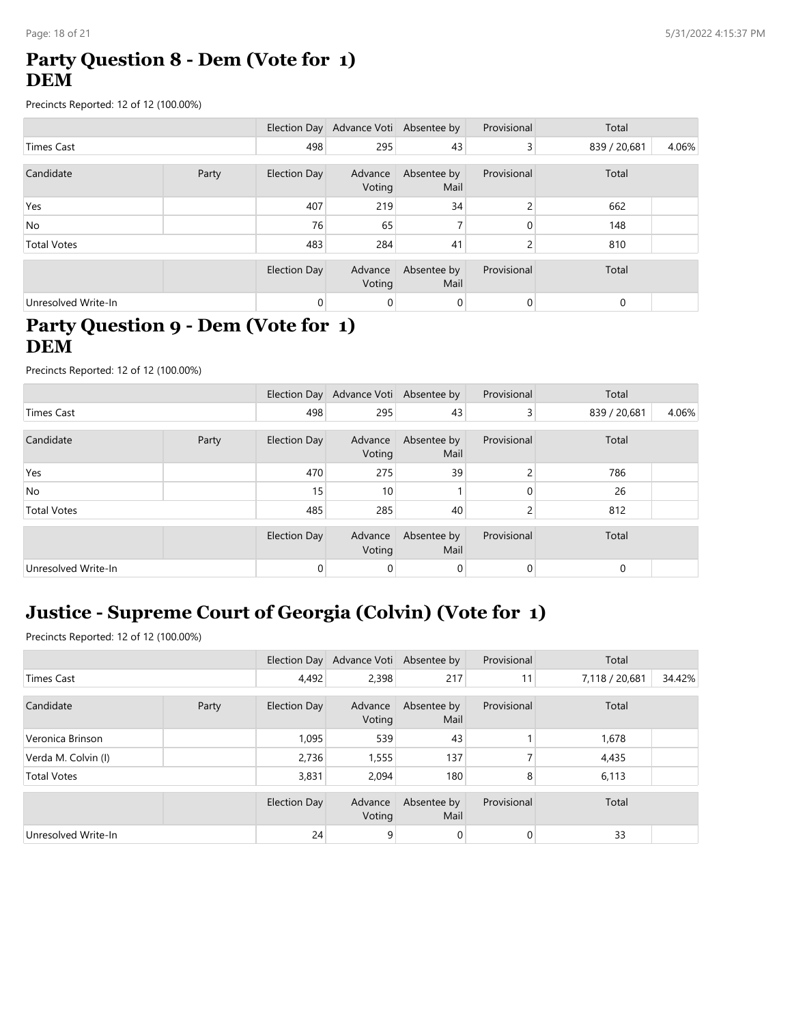### **Party Question 8 - Dem (Vote for 1) DEM**

Precincts Reported: 12 of 12 (100.00%)

|                     |       |              | Election Day Advance Voti Absentee by |                     | Provisional | Total        |       |
|---------------------|-------|--------------|---------------------------------------|---------------------|-------------|--------------|-------|
| Times Cast          |       | 498          | 295                                   | 43                  | 3           | 839 / 20,681 | 4.06% |
|                     |       |              |                                       |                     |             |              |       |
| Candidate           | Party | Election Day | Advance<br>Voting                     | Absentee by<br>Mail | Provisional | Total        |       |
| Yes                 |       | 407          | 219                                   | 34                  | C.          | 662          |       |
| No.                 |       | 76           | 65                                    |                     | $\Omega$    | 148          |       |
| <b>Total Votes</b>  |       | 483          | 284                                   | 41                  | C.          | 810          |       |
|                     |       |              |                                       |                     |             |              |       |
|                     |       | Election Day | Advance<br>Voting                     | Absentee by<br>Mail | Provisional | Total        |       |
| Unresolved Write-In |       | 0            | 0                                     | 0                   | 0           | 0            |       |

## **Party Question 9 - Dem (Vote for 1) DEM**

Precincts Reported: 12 of 12 (100.00%)

|                     |       |                     | Election Day Advance Voti Absentee by |                     | Provisional | Total        |       |
|---------------------|-------|---------------------|---------------------------------------|---------------------|-------------|--------------|-------|
| Times Cast          |       | 498                 | 295                                   | 43                  | 3           | 839 / 20,681 | 4.06% |
| Candidate           | Party | Election Day        | Advance<br>Voting                     | Absentee by<br>Mail | Provisional | Total        |       |
| Yes                 |       | 470                 | 275                                   | 39                  |             | 786          |       |
| No                  |       | 15                  | 10                                    |                     |             | 26           |       |
| <b>Total Votes</b>  |       | 485                 | 285                                   | 40                  |             | 812          |       |
|                     |       | <b>Election Day</b> | Advance<br>Voting                     | Absentee by<br>Mail | Provisional | Total        |       |
| Unresolved Write-In |       | 0                   | 0                                     | 0                   |             | $\mathbf 0$  |       |

# **Justice - Supreme Court of Georgia (Colvin) (Vote for 1)**

|                     |       |                     | Election Day Advance Voti Absentee by |                     | Provisional    | Total          |        |
|---------------------|-------|---------------------|---------------------------------------|---------------------|----------------|----------------|--------|
| Times Cast          |       | 4,492               | 2,398                                 | 217                 | 11             | 7,118 / 20,681 | 34.42% |
| Candidate           | Party | Election Day        | Advance<br>Voting                     | Absentee by<br>Mail | Provisional    | Total          |        |
| Veronica Brinson    |       | 1,095               | 539                                   | 43                  |                | 1,678          |        |
| Verda M. Colvin (I) |       | 2,736               | 1,555                                 | 137                 |                | 4,435          |        |
| <b>Total Votes</b>  |       | 3,831               | 2,094                                 | 180                 | 8              | 6,113          |        |
|                     |       | <b>Election Day</b> | Advance<br>Voting                     | Absentee by<br>Mail | Provisional    | Total          |        |
| Unresolved Write-In |       | 24                  | 9                                     | $\mathbf 0$         | $\overline{0}$ | 33             |        |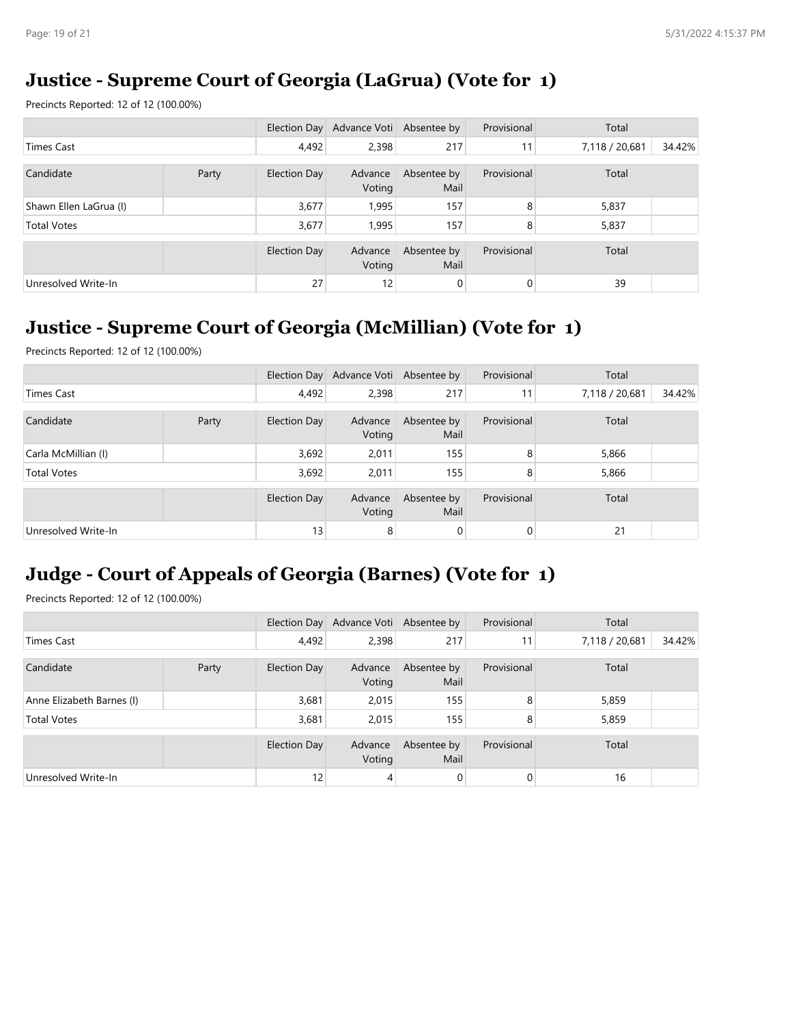## **Justice - Supreme Court of Georgia (LaGrua) (Vote for 1)**

Precincts Reported: 12 of 12 (100.00%)

|                        |       |              | Election Day Advance Voti Absentee by |                     | Provisional | Total          |        |
|------------------------|-------|--------------|---------------------------------------|---------------------|-------------|----------------|--------|
| Times Cast             |       | 4,492        | 2,398                                 | 217                 | 11          | 7,118 / 20,681 | 34.42% |
| Candidate              | Party | Election Day | Advance<br>Voting                     | Absentee by<br>Mail | Provisional | Total          |        |
| Shawn Ellen LaGrua (I) |       | 3,677        | 1,995                                 | 157                 | 8           | 5,837          |        |
| <b>Total Votes</b>     |       | 3,677        | 1,995                                 | 157                 | 8           | 5,837          |        |
|                        |       | Election Day | Advance<br>Voting                     | Absentee by<br>Mail | Provisional | Total          |        |
| Unresolved Write-In    |       | 27           | 12                                    | $\mathbf 0$         | 0           | 39             |        |

### **Justice - Supreme Court of Georgia (McMillian) (Vote for 1)**

Precincts Reported: 12 of 12 (100.00%)

|                     |       |              | Election Day Advance Voti Absentee by |                     | Provisional | Total          |        |
|---------------------|-------|--------------|---------------------------------------|---------------------|-------------|----------------|--------|
| Times Cast          |       | 4,492        | 2,398                                 | 217                 | 11          | 7,118 / 20,681 | 34.42% |
| Candidate           | Party | Election Day | Advance<br>Voting                     | Absentee by<br>Mail | Provisional | Total          |        |
| Carla McMillian (I) |       | 3,692        | 2,011                                 | 155                 | 8           | 5,866          |        |
| <b>Total Votes</b>  |       | 3,692        | 2,011                                 | 155                 | 8           | 5,866          |        |
|                     |       | Election Day | Advance<br>Voting                     | Absentee by<br>Mail | Provisional | Total          |        |
| Unresolved Write-In |       | 13           | 8                                     | 0                   | 0           | 21             |        |

## **Judge - Court of Appeals of Georgia (Barnes) (Vote for 1)**

|                           |       |              | Election Day Advance Voti Absentee by |                     | Provisional | Total          |        |
|---------------------------|-------|--------------|---------------------------------------|---------------------|-------------|----------------|--------|
| Times Cast                |       | 4,492        | 2,398                                 | 217                 | 11          | 7,118 / 20,681 | 34.42% |
|                           |       |              |                                       |                     |             |                |        |
| Candidate                 | Party | Election Day | Advance<br>Voting                     | Absentee by<br>Mail | Provisional | Total          |        |
| Anne Elizabeth Barnes (I) |       | 3,681        | 2,015                                 | 155                 | 8           | 5,859          |        |
| <b>Total Votes</b>        |       | 3,681        | 2.015                                 | 155                 | 8           | 5,859          |        |
|                           |       | Election Day | Advance<br>Voting                     | Absentee by<br>Mail | Provisional | Total          |        |
| Unresolved Write-In       |       | 12           | 4                                     | 0                   | 0           | 16             |        |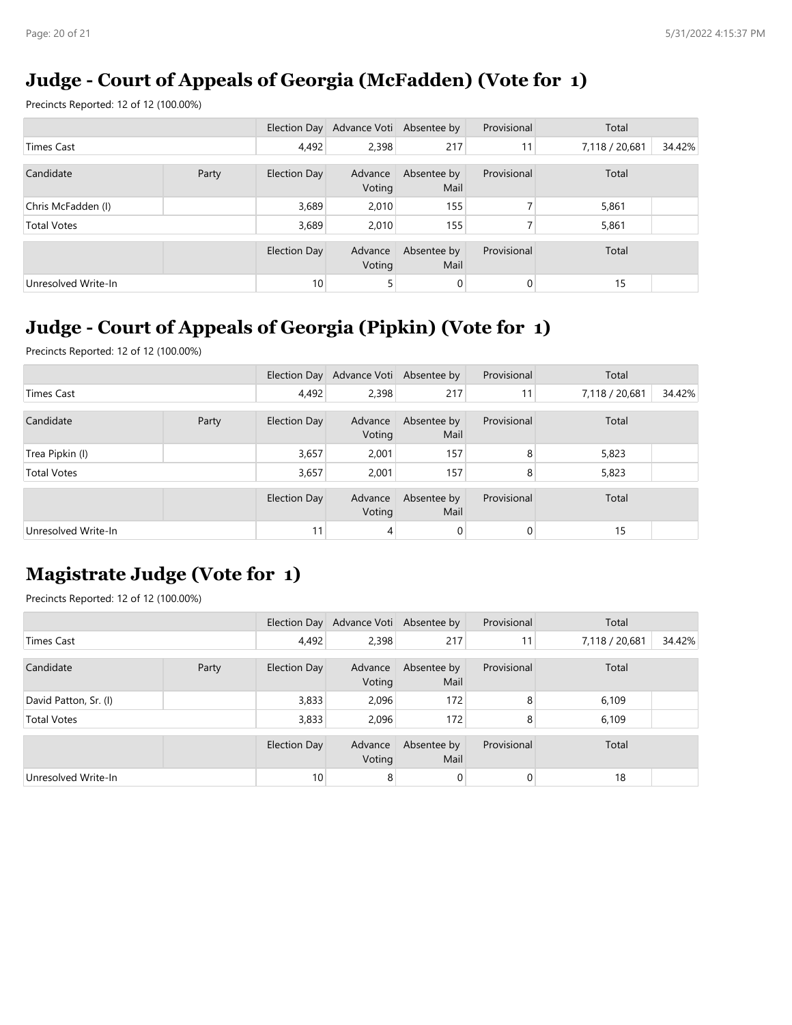## **Judge - Court of Appeals of Georgia (McFadden) (Vote for 1)**

Precincts Reported: 12 of 12 (100.00%)

|                     |       |              | Election Day Advance Voti Absentee by |                     | Provisional    | Total          |        |
|---------------------|-------|--------------|---------------------------------------|---------------------|----------------|----------------|--------|
| Times Cast          |       | 4,492        | 2,398                                 | 217                 | 11             | 7,118 / 20,681 | 34.42% |
| Candidate           | Party | Election Day | Advance<br>Voting                     | Absentee by<br>Mail | Provisional    | Total          |        |
| Chris McFadden (I)  |       | 3,689        | 2,010                                 | 155                 |                | 5,861          |        |
| <b>Total Votes</b>  |       | 3,689        | 2,010                                 | 155                 |                | 5,861          |        |
|                     |       | Election Day | Advance<br>Voting                     | Absentee by<br>Mail | Provisional    | Total          |        |
| Unresolved Write-In |       | 10           | 5                                     | $\mathbf 0$         | $\overline{0}$ | 15             |        |

## **Judge - Court of Appeals of Georgia (Pipkin) (Vote for 1)**

Precincts Reported: 12 of 12 (100.00%)

|                     |       |              | Election Day Advance Voti Absentee by |                     | Provisional | Total          |        |
|---------------------|-------|--------------|---------------------------------------|---------------------|-------------|----------------|--------|
| <b>Times Cast</b>   |       | 4,492        | 2,398                                 | 217                 | 11          | 7,118 / 20,681 | 34.42% |
| Candidate           | Party | Election Day | Advance<br>Voting                     | Absentee by<br>Mail | Provisional | Total          |        |
| Trea Pipkin (I)     |       | 3,657        | 2,001                                 | 157                 | 8           | 5,823          |        |
| <b>Total Votes</b>  |       | 3,657        | 2,001                                 | 157                 | 8           | 5,823          |        |
|                     |       | Election Day | Advance<br>Voting                     | Absentee by<br>Mail | Provisional | Total          |        |
| Unresolved Write-In |       | 11           | 4                                     | 0                   | 0           | 15             |        |

# **Magistrate Judge (Vote for 1)**

|                       |       |              | Election Day Advance Voti Absentee by |                     | Provisional | Total          |        |
|-----------------------|-------|--------------|---------------------------------------|---------------------|-------------|----------------|--------|
| Times Cast            |       | 4,492        | 2,398                                 | 217                 | 11          | 7,118 / 20,681 | 34.42% |
| Candidate             | Party | Election Day | Advance<br>Voting                     | Absentee by<br>Mail | Provisional | Total          |        |
| David Patton, Sr. (I) |       | 3,833        | 2,096                                 | 172                 | 8           | 6,109          |        |
| <b>Total Votes</b>    |       | 3,833        | 2.096                                 | 172                 | 8           | 6,109          |        |
|                       |       | Election Day | Advance<br>Voting                     | Absentee by<br>Mail | Provisional | Total          |        |
| Unresolved Write-In   |       | 10           | 8                                     | 0                   | 0           | 18             |        |